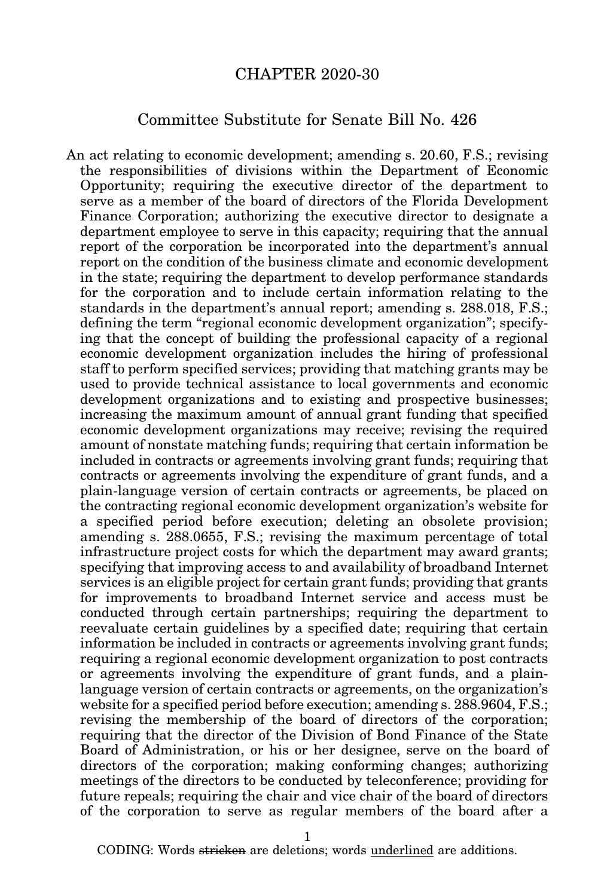## CHAPTER 2020-30

## Committee Substitute for Senate Bill No. 426

An act relating to economic development; amending s. 20.60, F.S.; revising the responsibilities of divisions within the Department of Economic Opportunity; requiring the executive director of the department to serve as a member of the board of directors of the Florida Development Finance Corporation; authorizing the executive director to designate a department employee to serve in this capacity; requiring that the annual report of the corporation be incorporated into the department's annual report on the condition of the business climate and economic development in the state; requiring the department to develop performance standards for the corporation and to include certain information relating to the standards in the department's annual report; amending s. 288.018, F.S.; defining the term "regional economic development organization"; specifying that the concept of building the professional capacity of a regional economic development organization includes the hiring of professional staff to perform specified services; providing that matching grants may be used to provide technical assistance to local governments and economic development organizations and to existing and prospective businesses; increasing the maximum amount of annual grant funding that specified economic development organizations may receive; revising the required amount of nonstate matching funds; requiring that certain information be included in contracts or agreements involving grant funds; requiring that contracts or agreements involving the expenditure of grant funds, and a plain-language version of certain contracts or agreements, be placed on the contracting regional economic development organization's website for a specified period before execution; deleting an obsolete provision; amending s. 288.0655, F.S.; revising the maximum percentage of total infrastructure project costs for which the department may award grants; specifying that improving access to and availability of broadband Internet services is an eligible project for certain grant funds; providing that grants for improvements to broadband Internet service and access must be conducted through certain partnerships; requiring the department to reevaluate certain guidelines by a specified date; requiring that certain information be included in contracts or agreements involving grant funds; requiring a regional economic development organization to post contracts or agreements involving the expenditure of grant funds, and a plainlanguage version of certain contracts or agreements, on the organization's website for a specified period before execution; amending s. 288.9604, F.S.; revising the membership of the board of directors of the corporation; requiring that the director of the Division of Bond Finance of the State Board of Administration, or his or her designee, serve on the board of directors of the corporation; making conforming changes; authorizing meetings of the directors to be conducted by teleconference; providing for future repeals; requiring the chair and vice chair of the board of directors of the corporation to serve as regular members of the board after a

1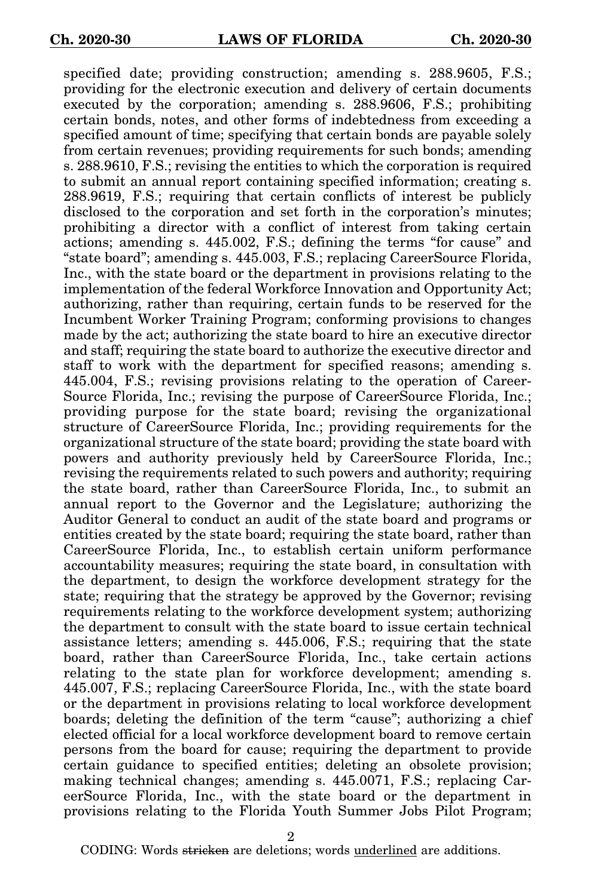specified date; providing construction; amending s. 288.9605, F.S.; providing for the electronic execution and delivery of certain documents executed by the corporation; amending s. 288.9606, F.S.; prohibiting certain bonds, notes, and other forms of indebtedness from exceeding a specified amount of time; specifying that certain bonds are payable solely from certain revenues; providing requirements for such bonds; amending s. 288.9610, F.S.; revising the entities to which the corporation is required to submit an annual report containing specified information; creating s. 288.9619, F.S.; requiring that certain conflicts of interest be publicly disclosed to the corporation and set forth in the corporation's minutes; prohibiting a director with a conflict of interest from taking certain actions; amending s. 445.002, F.S.; defining the terms "for cause" and "state board"; amending s. 445.003, F.S.; replacing CareerSource Florida, Inc., with the state board or the department in provisions relating to the implementation of the federal Workforce Innovation and Opportunity Act; authorizing, rather than requiring, certain funds to be reserved for the Incumbent Worker Training Program; conforming provisions to changes made by the act; authorizing the state board to hire an executive director and staff; requiring the state board to authorize the executive director and staff to work with the department for specified reasons; amending s. 445.004, F.S.; revising provisions relating to the operation of Career-Source Florida, Inc.; revising the purpose of CareerSource Florida, Inc.; providing purpose for the state board; revising the organizational structure of CareerSource Florida, Inc.; providing requirements for the organizational structure of the state board; providing the state board with powers and authority previously held by CareerSource Florida, Inc.; revising the requirements related to such powers and authority; requiring the state board, rather than CareerSource Florida, Inc., to submit an annual report to the Governor and the Legislature; authorizing the Auditor General to conduct an audit of the state board and programs or entities created by the state board; requiring the state board, rather than CareerSource Florida, Inc., to establish certain uniform performance accountability measures; requiring the state board, in consultation with the department, to design the workforce development strategy for the state; requiring that the strategy be approved by the Governor; revising requirements relating to the workforce development system; authorizing the department to consult with the state board to issue certain technical assistance letters; amending s. 445.006, F.S.; requiring that the state board, rather than CareerSource Florida, Inc., take certain actions relating to the state plan for workforce development; amending s. 445.007, F.S.; replacing CareerSource Florida, Inc., with the state board or the department in provisions relating to local workforce development boards; deleting the definition of the term "cause"; authorizing a chief elected official for a local workforce development board to remove certain persons from the board for cause; requiring the department to provide certain guidance to specified entities; deleting an obsolete provision; making technical changes; amending s. 445.0071, F.S.; replacing CareerSource Florida, Inc., with the state board or the department in provisions relating to the Florida Youth Summer Jobs Pilot Program;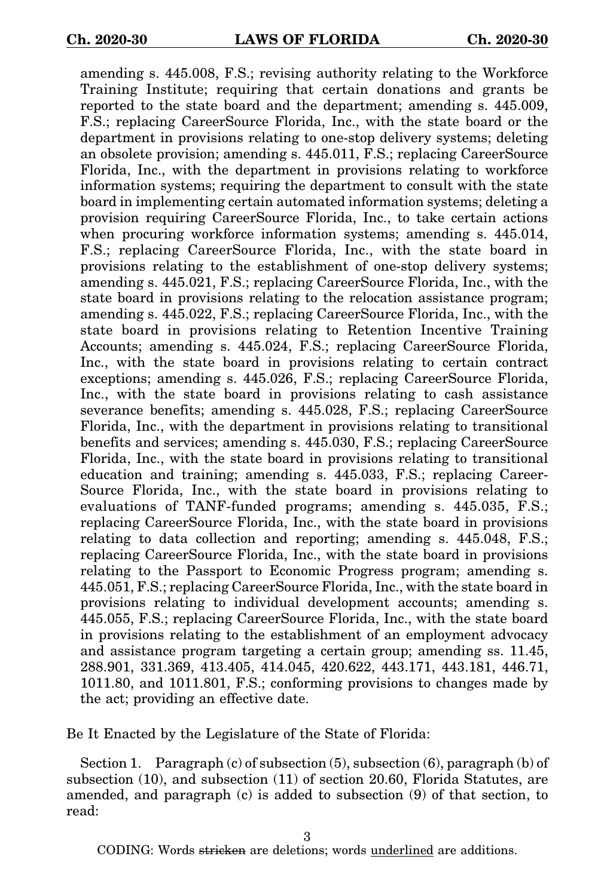amending s. 445.008, F.S.; revising authority relating to the Workforce Training Institute; requiring that certain donations and grants be reported to the state board and the department; amending s. 445.009, F.S.; replacing CareerSource Florida, Inc., with the state board or the department in provisions relating to one-stop delivery systems; deleting an obsolete provision; amending s. 445.011, F.S.; replacing CareerSource Florida, Inc., with the department in provisions relating to workforce information systems; requiring the department to consult with the state board in implementing certain automated information systems; deleting a provision requiring CareerSource Florida, Inc., to take certain actions when procuring workforce information systems; amending s. 445.014, F.S.; replacing CareerSource Florida, Inc., with the state board in provisions relating to the establishment of one-stop delivery systems; amending s. 445.021, F.S.; replacing CareerSource Florida, Inc., with the state board in provisions relating to the relocation assistance program; amending s. 445.022, F.S.; replacing CareerSource Florida, Inc., with the state board in provisions relating to Retention Incentive Training Accounts; amending s. 445.024, F.S.; replacing CareerSource Florida, Inc., with the state board in provisions relating to certain contract exceptions; amending s. 445.026, F.S.; replacing CareerSource Florida, Inc., with the state board in provisions relating to cash assistance severance benefits; amending s. 445.028, F.S.; replacing CareerSource Florida, Inc., with the department in provisions relating to transitional benefits and services; amending s. 445.030, F.S.; replacing CareerSource Florida, Inc., with the state board in provisions relating to transitional education and training; amending s. 445.033, F.S.; replacing Career-Source Florida, Inc., with the state board in provisions relating to evaluations of TANF-funded programs; amending s. 445.035, F.S.; replacing CareerSource Florida, Inc., with the state board in provisions relating to data collection and reporting; amending s. 445.048, F.S.; replacing CareerSource Florida, Inc., with the state board in provisions relating to the Passport to Economic Progress program; amending s. 445.051, F.S.; replacing CareerSource Florida, Inc., with the state board in provisions relating to individual development accounts; amending s. 445.055, F.S.; replacing CareerSource Florida, Inc., with the state board in provisions relating to the establishment of an employment advocacy and assistance program targeting a certain group; amending ss. 11.45, 288.901, 331.369, 413.405, 414.045, 420.622, 443.171, 443.181, 446.71, 1011.80, and 1011.801, F.S.; conforming provisions to changes made by the act; providing an effective date.

Be It Enacted by the Legislature of the State of Florida:

Section 1. Paragraph  $(c)$  of subsection  $(5)$ , subsection  $(6)$ , paragraph  $(b)$  of subsection (10), and subsection (11) of section 20.60, Florida Statutes, are amended, and paragraph (c) is added to subsection (9) of that section, to read: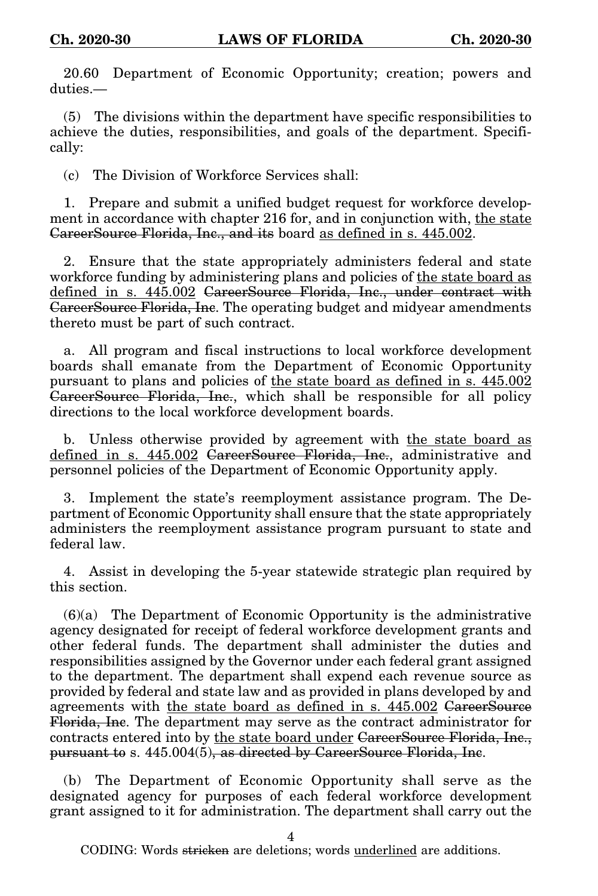20.60 Department of Economic Opportunity; creation; powers and duties.—

(5) The divisions within the department have specific responsibilities to achieve the duties, responsibilities, and goals of the department. Specifically:

(c) The Division of Workforce Services shall:

1. Prepare and submit a unified budget request for workforce development in accordance with chapter 216 for, and in conjunction with, the state CareerSource Florida, Inc., and its board as defined in s. 445.002.

2. Ensure that the state appropriately administers federal and state workforce funding by administering plans and policies of the state board as defined in s. 445.002 CareerSource Florida, Inc., under contract with CareerSource Florida, Inc. The operating budget and midyear amendments thereto must be part of such contract.

a. All program and fiscal instructions to local workforce development boards shall emanate from the Department of Economic Opportunity pursuant to plans and policies of the state board as defined in s. 445.002 CareerSource Florida, Inc., which shall be responsible for all policy directions to the local workforce development boards.

b. Unless otherwise provided by agreement with the state board as defined in s. 445.002 CareerSource Florida, Inc., administrative and personnel policies of the Department of Economic Opportunity apply.

3. Implement the state's reemployment assistance program. The Department of Economic Opportunity shall ensure that the state appropriately administers the reemployment assistance program pursuant to state and federal law.

4. Assist in developing the 5-year statewide strategic plan required by this section.

 $(6)(a)$  The Department of Economic Opportunity is the administrative agency designated for receipt of federal workforce development grants and other federal funds. The department shall administer the duties and responsibilities assigned by the Governor under each federal grant assigned to the department. The department shall expend each revenue source as provided by federal and state law and as provided in plans developed by and agreements with the state board as defined in s. 445.002 CareerSource Florida, Inc. The department may serve as the contract administrator for contracts entered into by the state board under CareerSource Florida, Inc., pursuant to s. 445.004(5), as directed by CareerSource Florida, Inc.

(b) The Department of Economic Opportunity shall serve as the designated agency for purposes of each federal workforce development grant assigned to it for administration. The department shall carry out the

4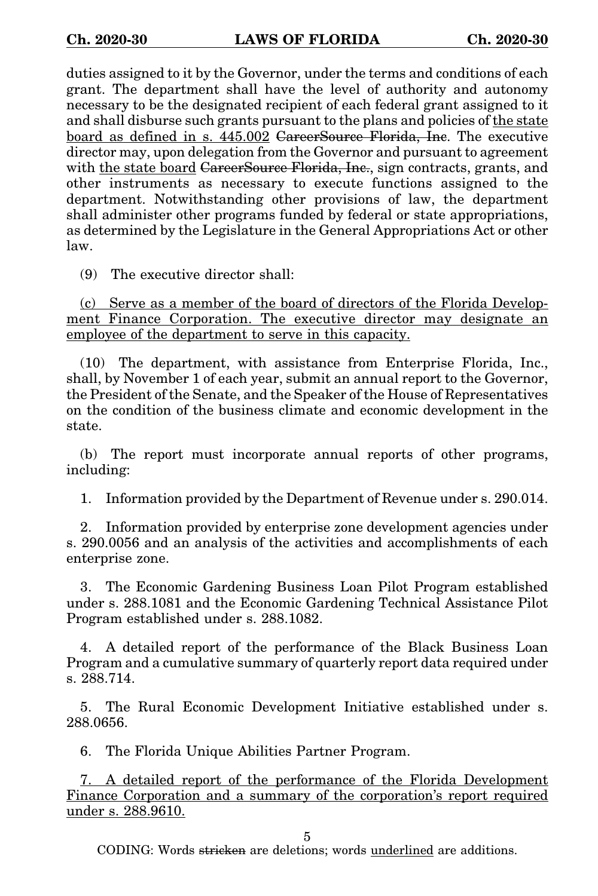duties assigned to it by the Governor, under the terms and conditions of each grant. The department shall have the level of authority and autonomy necessary to be the designated recipient of each federal grant assigned to it and shall disburse such grants pursuant to the plans and policies of the state board as defined in s. 445.002 CareerSource Florida, Inc. The executive director may, upon delegation from the Governor and pursuant to agreement with the state board CareerSource Florida, Inc., sign contracts, grants, and other instruments as necessary to execute functions assigned to the department. Notwithstanding other provisions of law, the department shall administer other programs funded by federal or state appropriations, as determined by the Legislature in the General Appropriations Act or other law.

(9) The executive director shall:

(c) Serve as a member of the board of directors of the Florida Development Finance Corporation. The executive director may designate an employee of the department to serve in this capacity.

(10) The department, with assistance from Enterprise Florida, Inc., shall, by November 1 of each year, submit an annual report to the Governor, the President of the Senate, and the Speaker of the House of Representatives on the condition of the business climate and economic development in the state.

(b) The report must incorporate annual reports of other programs, including:

1. Information provided by the Department of Revenue under s. 290.014.

2. Information provided by enterprise zone development agencies under s. 290.0056 and an analysis of the activities and accomplishments of each enterprise zone.

3. The Economic Gardening Business Loan Pilot Program established under s. 288.1081 and the Economic Gardening Technical Assistance Pilot Program established under s. 288.1082.

4. A detailed report of the performance of the Black Business Loan Program and a cumulative summary of quarterly report data required under s. 288.714.

5. The Rural Economic Development Initiative established under s. 288.0656.

6. The Florida Unique Abilities Partner Program.

7. A detailed report of the performance of the Florida Development Finance Corporation and a summary of the corporation's report required under s. 288.9610.

5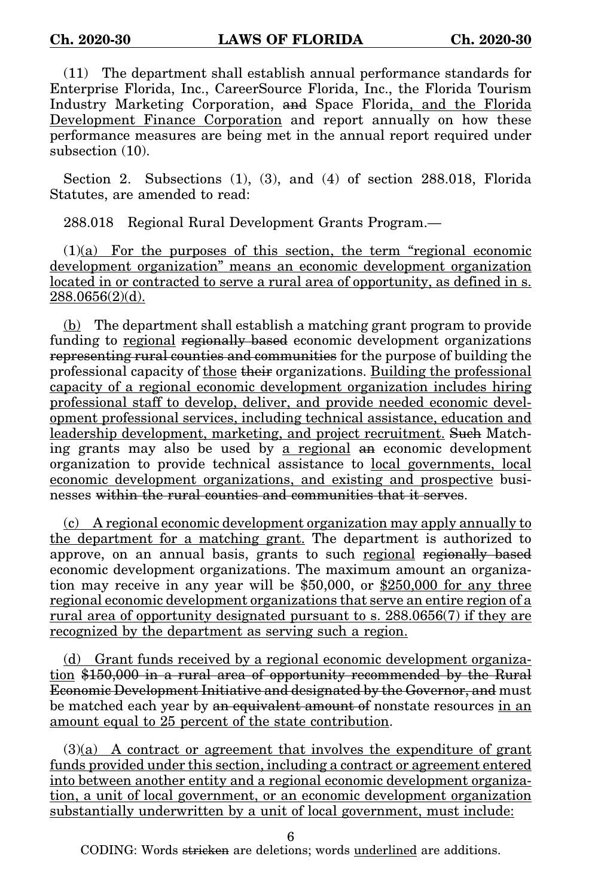(11) The department shall establish annual performance standards for Enterprise Florida, Inc., CareerSource Florida, Inc., the Florida Tourism Industry Marketing Corporation, and Space Florida, and the Florida Development Finance Corporation and report annually on how these performance measures are being met in the annual report required under subsection (10).

Section 2. Subsections (1), (3), and (4) of section 288.018, Florida Statutes, are amended to read:

288.018 Regional Rural Development Grants Program.—

 $(1)(a)$  For the purposes of this section, the term "regional economic development organization" means an economic development organization located in or contracted to serve a rural area of opportunity, as defined in s. 288.0656(2)(d).

(b) The department shall establish a matching grant program to provide funding to regional regionally based economic development organizations representing rural counties and communities for the purpose of building the professional capacity of those their organizations. Building the professional capacity of a regional economic development organization includes hiring professional staff to develop, deliver, and provide needed economic development professional services, including technical assistance, education and leadership development, marketing, and project recruitment. Such Matching grants may also be used by a regional an economic development organization to provide technical assistance to local governments, local economic development organizations, and existing and prospective businesses within the rural counties and communities that it serves.

(c) A regional economic development organization may apply annually to the department for a matching grant. The department is authorized to approve, on an annual basis, grants to such regional regionally based economic development organizations. The maximum amount an organization may receive in any year will be \$50,000, or \$250,000 for any three regional economic development organizations that serve an entire region of a rural area of opportunity designated pursuant to s. 288.0656(7) if they are recognized by the department as serving such a region.

(d) Grant funds received by a regional economic development organization \$150,000 in a rural area of opportunity recommended by the Rural Economic Development Initiative and designated by the Governor, and must be matched each year by an equivalent amount of nonstate resources in an amount equal to 25 percent of the state contribution.

(3)(a) A contract or agreement that involves the expenditure of grant funds provided under this section, including a contract or agreement entered into between another entity and a regional economic development organization, a unit of local government, or an economic development organization substantially underwritten by a unit of local government, must include:

6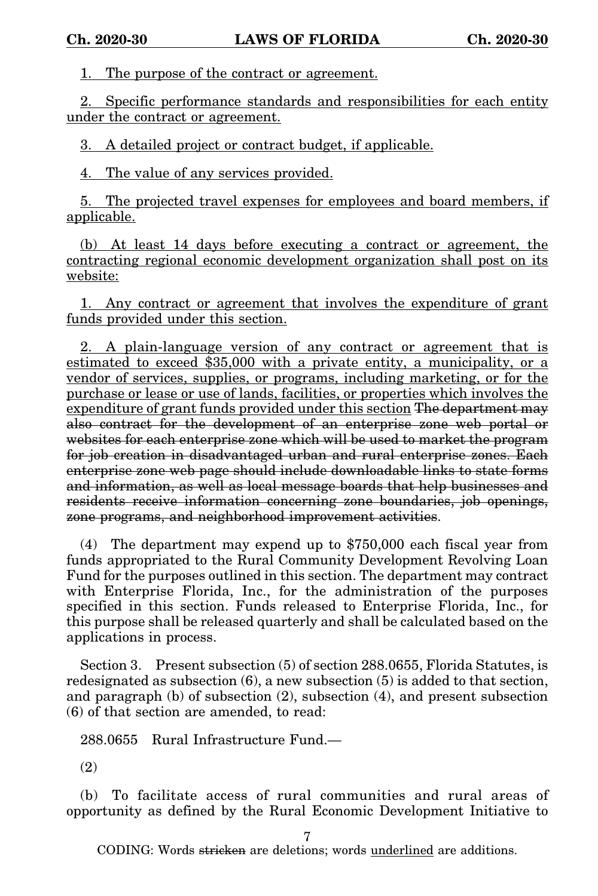1. The purpose of the contract or agreement.

2. Specific performance standards and responsibilities for each entity under the contract or agreement.

3. A detailed project or contract budget, if applicable.

4. The value of any services provided.

5. The projected travel expenses for employees and board members, if applicable.

(b) At least 14 days before executing a contract or agreement, the contracting regional economic development organization shall post on its website:

1. Any contract or agreement that involves the expenditure of grant funds provided under this section.

2. A plain-language version of any contract or agreement that is estimated to exceed \$35,000 with a private entity, a municipality, or a vendor of services, supplies, or programs, including marketing, or for the purchase or lease or use of lands, facilities, or properties which involves the expenditure of grant funds provided under this section The department may also contract for the development of an enterprise zone web portal or websites for each enterprise zone which will be used to market the program for job creation in disadvantaged urban and rural enterprise zones. Each enterprise zone web page should include downloadable links to state forms and information, as well as local message boards that help businesses and residents receive information concerning zone boundaries, job openings, zone programs, and neighborhood improvement activities.

(4) The department may expend up to \$750,000 each fiscal year from funds appropriated to the Rural Community Development Revolving Loan Fund for the purposes outlined in this section. The department may contract with Enterprise Florida, Inc., for the administration of the purposes specified in this section. Funds released to Enterprise Florida, Inc., for this purpose shall be released quarterly and shall be calculated based on the applications in process.

Section 3. Present subsection (5) of section 288.0655, Florida Statutes, is redesignated as subsection (6), a new subsection (5) is added to that section, and paragraph (b) of subsection (2), subsection (4), and present subsection (6) of that section are amended, to read:

288.0655 Rural Infrastructure Fund.—

(2)

(b) To facilitate access of rural communities and rural areas of opportunity as defined by the Rural Economic Development Initiative to

7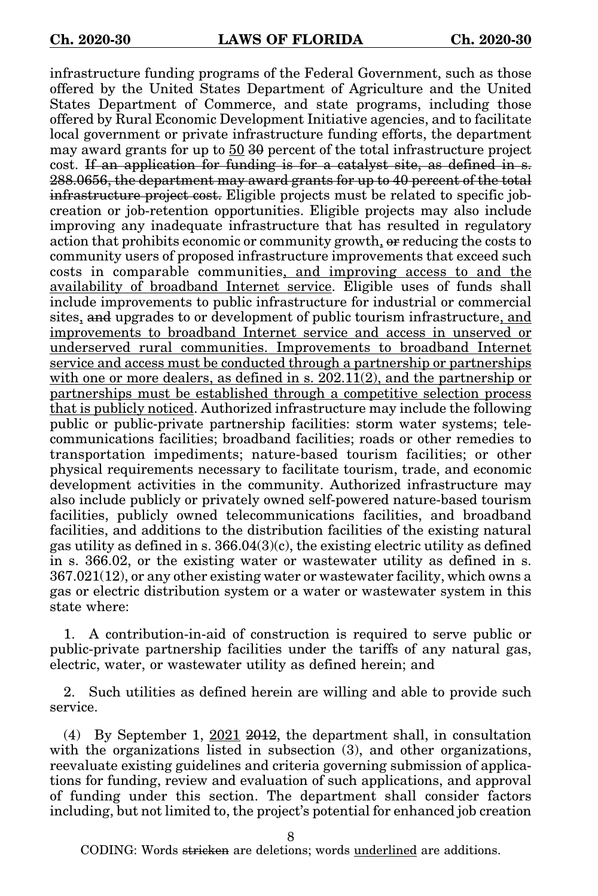infrastructure funding programs of the Federal Government, such as those offered by the United States Department of Agriculture and the United States Department of Commerce, and state programs, including those offered by Rural Economic Development Initiative agencies, and to facilitate local government or private infrastructure funding efforts, the department may award grants for up to 50 30 percent of the total infrastructure project cost. If an application for funding is for a catalyst site, as defined in s. 288.0656, the department may award grants for up to 40 percent of the total infrastructure project cost. Eligible projects must be related to specific jobcreation or job-retention opportunities. Eligible projects may also include improving any inadequate infrastructure that has resulted in regulatory action that prohibits economic or community growth, or reducing the costs to community users of proposed infrastructure improvements that exceed such costs in comparable communities, and improving access to and the availability of broadband Internet service. Eligible uses of funds shall include improvements to public infrastructure for industrial or commercial sites, and upgrades to or development of public tourism infrastructure, and improvements to broadband Internet service and access in unserved or underserved rural communities. Improvements to broadband Internet service and access must be conducted through a partnership or partnerships with one or more dealers, as defined in s. 202.11(2), and the partnership or partnerships must be established through a competitive selection process that is publicly noticed. Authorized infrastructure may include the following public or public-private partnership facilities: storm water systems; telecommunications facilities; broadband facilities; roads or other remedies to transportation impediments; nature-based tourism facilities; or other physical requirements necessary to facilitate tourism, trade, and economic development activities in the community. Authorized infrastructure may also include publicly or privately owned self-powered nature-based tourism facilities, publicly owned telecommunications facilities, and broadband facilities, and additions to the distribution facilities of the existing natural gas utility as defined in s.  $366.04(3)(c)$ , the existing electric utility as defined in s. 366.02, or the existing water or wastewater utility as defined in s. 367.021(12), or any other existing water or wastewater facility, which owns a gas or electric distribution system or a water or wastewater system in this state where:

1. A contribution-in-aid of construction is required to serve public or public-private partnership facilities under the tariffs of any natural gas, electric, water, or wastewater utility as defined herein; and

2. Such utilities as defined herein are willing and able to provide such service.

(4) By September 1, 2021 2012, the department shall, in consultation with the organizations listed in subsection (3), and other organizations, reevaluate existing guidelines and criteria governing submission of applications for funding, review and evaluation of such applications, and approval of funding under this section. The department shall consider factors including, but not limited to, the project's potential for enhanced job creation

8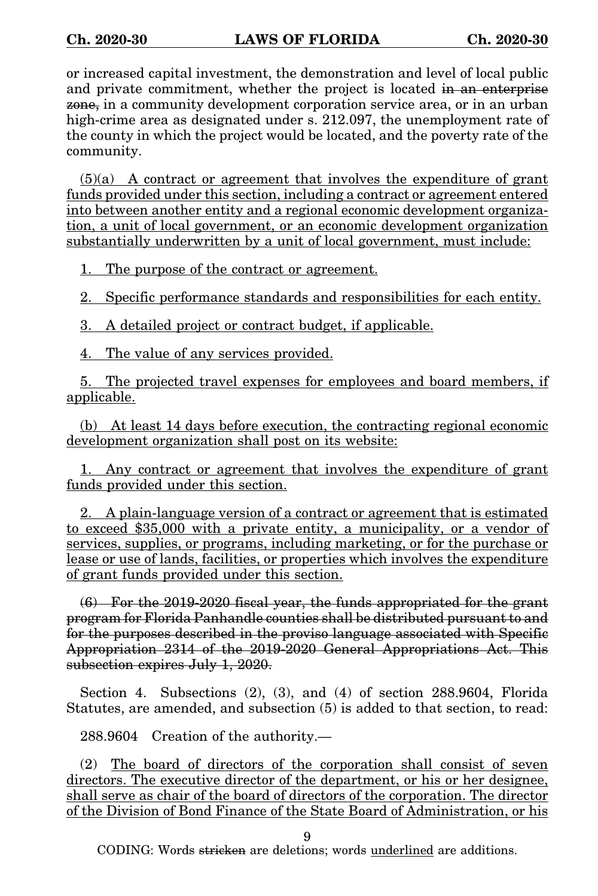or increased capital investment, the demonstration and level of local public and private commitment, whether the project is located in an enterprise zone, in a community development corporation service area, or in an urban high-crime area as designated under s. 212.097, the unemployment rate of the county in which the project would be located, and the poverty rate of the community.

(5)(a) A contract or agreement that involves the expenditure of grant funds provided under this section, including a contract or agreement entered into between another entity and a regional economic development organization, a unit of local government, or an economic development organization substantially underwritten by a unit of local government, must include:

1. The purpose of the contract or agreement.

2. Specific performance standards and responsibilities for each entity.

3. A detailed project or contract budget, if applicable.

4. The value of any services provided.

5. The projected travel expenses for employees and board members, if applicable.

(b) At least 14 days before execution, the contracting regional economic development organization shall post on its website:

1. Any contract or agreement that involves the expenditure of grant funds provided under this section.

2. A plain-language version of a contract or agreement that is estimated to exceed \$35,000 with a private entity, a municipality, or a vendor of services, supplies, or programs, including marketing, or for the purchase or lease or use of lands, facilities, or properties which involves the expenditure of grant funds provided under this section.

(6) For the 2019-2020 fiscal year, the funds appropriated for the grant program for Florida Panhandle counties shall be distributed pursuant to and for the purposes described in the proviso language associated with Specific Appropriation 2314 of the 2019-2020 General Appropriations Act. This subsection expires July 1, 2020.

Section 4. Subsections (2), (3), and (4) of section 288.9604, Florida Statutes, are amended, and subsection (5) is added to that section, to read:

288.9604 Creation of the authority.—

(2) The board of directors of the corporation shall consist of seven directors. The executive director of the department, or his or her designee, shall serve as chair of the board of directors of the corporation. The director of the Division of Bond Finance of the State Board of Administration, or his

9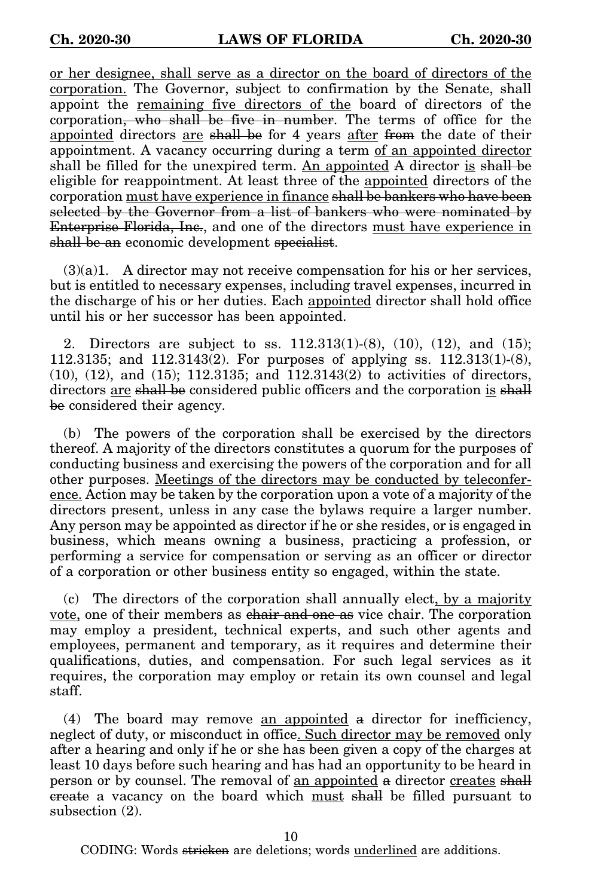or her designee, shall serve as a director on the board of directors of the corporation. The Governor, subject to confirmation by the Senate, shall appoint the remaining five directors of the board of directors of the corporation, who shall be five in number. The terms of office for the appointed directors are shall be for 4 years after from the date of their appointment. A vacancy occurring during a term of an appointed director shall be filled for the unexpired term. An appointed A director is shall be eligible for reappointment. At least three of the appointed directors of the corporation must have experience in finance shall be bankers who have been selected by the Governor from a list of bankers who were nominated by Enterprise Florida, Inc., and one of the directors must have experience in shall be an economic development specialist.

 $(3)(a)1$ . A director may not receive compensation for his or her services, but is entitled to necessary expenses, including travel expenses, incurred in the discharge of his or her duties. Each appointed director shall hold office until his or her successor has been appointed.

2. Directors are subject to ss. 112.313(1)-(8), (10), (12), and (15); 112.3135; and 112.3143(2). For purposes of applying ss. 112.313(1)-(8), (10), (12), and (15); 112.3135; and 112.3143(2) to activities of directors, directors <u>are shall be</u> considered public officers and the corporation is shall be considered their agency.

(b) The powers of the corporation shall be exercised by the directors thereof. A majority of the directors constitutes a quorum for the purposes of conducting business and exercising the powers of the corporation and for all other purposes. Meetings of the directors may be conducted by teleconference. Action may be taken by the corporation upon a vote of a majority of the directors present, unless in any case the bylaws require a larger number. Any person may be appointed as director if he or she resides, or is engaged in business, which means owning a business, practicing a profession, or performing a service for compensation or serving as an officer or director of a corporation or other business entity so engaged, within the state.

(c) The directors of the corporation shall annually elect, by a majority vote, one of their members as chair and one as vice chair. The corporation may employ a president, technical experts, and such other agents and employees, permanent and temporary, as it requires and determine their qualifications, duties, and compensation. For such legal services as it requires, the corporation may employ or retain its own counsel and legal staff.

(4) The board may remove an appointed a director for inefficiency, neglect of duty, or misconduct in office. Such director may be removed only after a hearing and only if he or she has been given a copy of the charges at least 10 days before such hearing and has had an opportunity to be heard in person or by counsel. The removal of an appointed a director creates shall create a vacancy on the board which must shall be filled pursuant to subsection (2).

10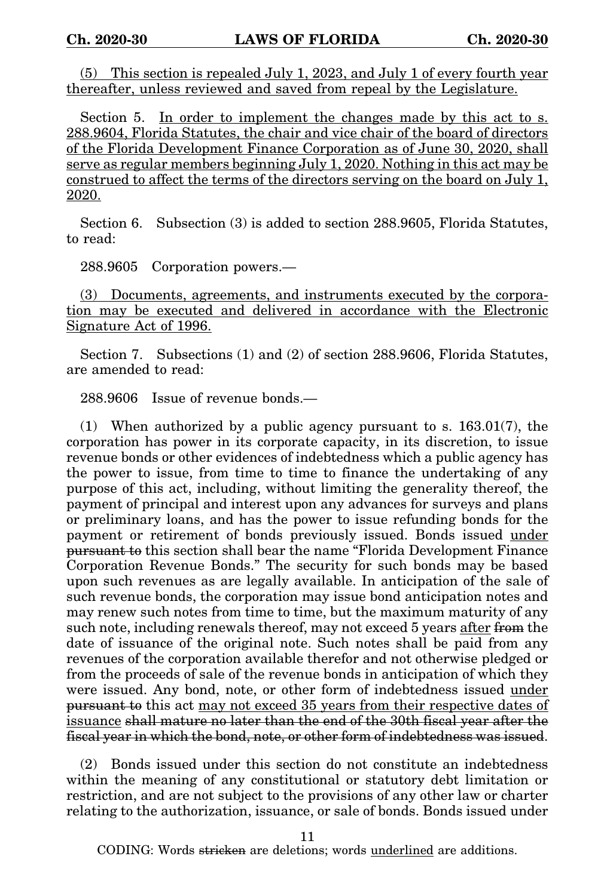(5) This section is repealed July 1, 2023, and July 1 of every fourth year thereafter, unless reviewed and saved from repeal by the Legislature.

Section 5. In order to implement the changes made by this act to s. 288.9604, Florida Statutes, the chair and vice chair of the board of directors of the Florida Development Finance Corporation as of June 30, 2020, shall serve as regular members beginning July 1, 2020. Nothing in this act may be construed to affect the terms of the directors serving on the board on July 1, 2020.

Section 6. Subsection (3) is added to section 288.9605, Florida Statutes, to read:

288.9605 Corporation powers.—

(3) Documents, agreements, and instruments executed by the corporation may be executed and delivered in accordance with the Electronic Signature Act of 1996.

Section 7. Subsections (1) and (2) of section 288.9606, Florida Statutes, are amended to read:

288.9606 Issue of revenue bonds.—

(1) When authorized by a public agency pursuant to s.  $163.01(7)$ , the corporation has power in its corporate capacity, in its discretion, to issue revenue bonds or other evidences of indebtedness which a public agency has the power to issue, from time to time to finance the undertaking of any purpose of this act, including, without limiting the generality thereof, the payment of principal and interest upon any advances for surveys and plans or preliminary loans, and has the power to issue refunding bonds for the payment or retirement of bonds previously issued. Bonds issued under pursuant to this section shall bear the name "Florida Development Finance Corporation Revenue Bonds." The security for such bonds may be based upon such revenues as are legally available. In anticipation of the sale of such revenue bonds, the corporation may issue bond anticipation notes and may renew such notes from time to time, but the maximum maturity of any such note, including renewals thereof, may not exceed 5 years after from the date of issuance of the original note. Such notes shall be paid from any revenues of the corporation available therefor and not otherwise pledged or from the proceeds of sale of the revenue bonds in anticipation of which they were issued. Any bond, note, or other form of indebtedness issued under pursuant to this act may not exceed 35 years from their respective dates of issuance shall mature no later than the end of the 30th fiscal year after the fiscal year in which the bond, note, or other form of indebtedness was issued.

(2) Bonds issued under this section do not constitute an indebtedness within the meaning of any constitutional or statutory debt limitation or restriction, and are not subject to the provisions of any other law or charter relating to the authorization, issuance, or sale of bonds. Bonds issued under

11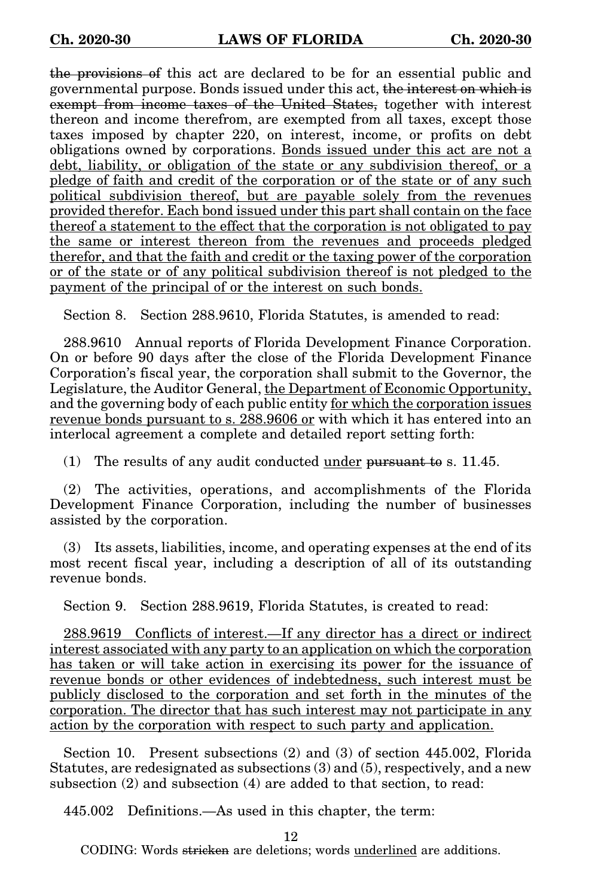the provisions of this act are declared to be for an essential public and governmental purpose. Bonds issued under this act, the interest on which is exempt from income taxes of the United States, together with interest thereon and income therefrom, are exempted from all taxes, except those taxes imposed by chapter 220, on interest, income, or profits on debt obligations owned by corporations. Bonds issued under this act are not a debt, liability, or obligation of the state or any subdivision thereof, or a pledge of faith and credit of the corporation or of the state or of any such political subdivision thereof, but are payable solely from the revenues provided therefor. Each bond issued under this part shall contain on the face thereof a statement to the effect that the corporation is not obligated to pay the same or interest thereon from the revenues and proceeds pledged therefor, and that the faith and credit or the taxing power of the corporation or of the state or of any political subdivision thereof is not pledged to the payment of the principal of or the interest on such bonds.

Section 8. Section 288.9610, Florida Statutes, is amended to read:

288.9610 Annual reports of Florida Development Finance Corporation. On or before 90 days after the close of the Florida Development Finance Corporation's fiscal year, the corporation shall submit to the Governor, the Legislature, the Auditor General, the Department of Economic Opportunity, and the governing body of each public entity for which the corporation issues revenue bonds pursuant to s. 288.9606 or with which it has entered into an interlocal agreement a complete and detailed report setting forth:

(1) The results of any audit conducted under pursuant to s. 11.45.

(2) The activities, operations, and accomplishments of the Florida Development Finance Corporation, including the number of businesses assisted by the corporation.

(3) Its assets, liabilities, income, and operating expenses at the end of its most recent fiscal year, including a description of all of its outstanding revenue bonds.

Section 9. Section 288.9619, Florida Statutes, is created to read:

288.9619 Conflicts of interest.—If any director has a direct or indirect interest associated with any party to an application on which the corporation has taken or will take action in exercising its power for the issuance of revenue bonds or other evidences of indebtedness, such interest must be publicly disclosed to the corporation and set forth in the minutes of the corporation. The director that has such interest may not participate in any action by the corporation with respect to such party and application.

Section 10. Present subsections (2) and (3) of section 445.002, Florida Statutes, are redesignated as subsections (3) and (5), respectively, and a new subsection (2) and subsection (4) are added to that section, to read:

445.002 Definitions.—As used in this chapter, the term:

12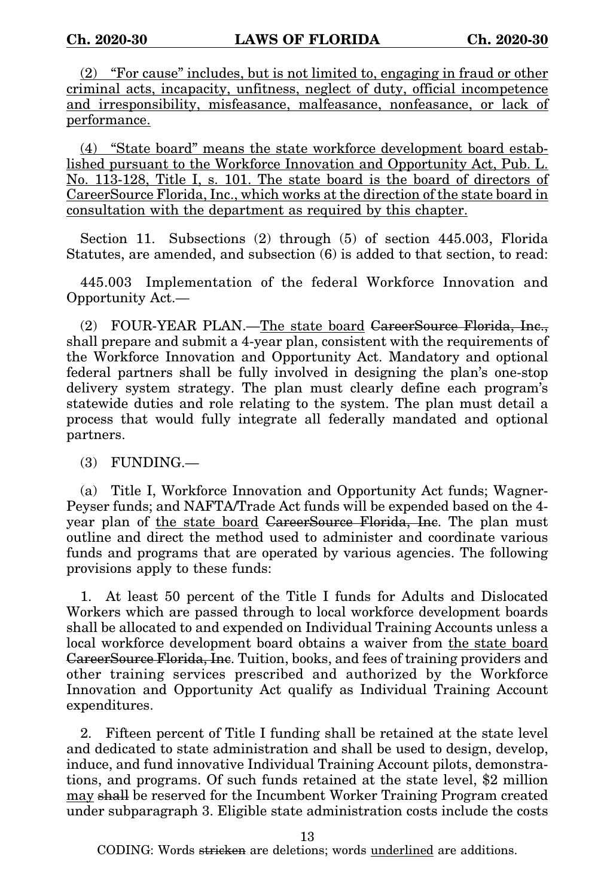(2) "For cause" includes, but is not limited to, engaging in fraud or other criminal acts, incapacity, unfitness, neglect of duty, official incompetence and irresponsibility, misfeasance, malfeasance, nonfeasance, or lack of performance.

(4) "State board" means the state workforce development board established pursuant to the Workforce Innovation and Opportunity Act, Pub. L. No. 113-128, Title I, s. 101. The state board is the board of directors of CareerSource Florida, Inc., which works at the direction of the state board in consultation with the department as required by this chapter.

Section 11. Subsections (2) through (5) of section 445.003, Florida Statutes, are amended, and subsection (6) is added to that section, to read:

445.003 Implementation of the federal Workforce Innovation and Opportunity Act.—

(2) FOUR-YEAR PLAN.—The state board CareerSource Florida, Inc., shall prepare and submit a 4-year plan, consistent with the requirements of the Workforce Innovation and Opportunity Act. Mandatory and optional federal partners shall be fully involved in designing the plan's one-stop delivery system strategy. The plan must clearly define each program's statewide duties and role relating to the system. The plan must detail a process that would fully integrate all federally mandated and optional partners.

(3) FUNDING.—

(a) Title I, Workforce Innovation and Opportunity Act funds; Wagner-Peyser funds; and NAFTA/Trade Act funds will be expended based on the 4 year plan of the state board CareerSource Florida, Inc. The plan must outline and direct the method used to administer and coordinate various funds and programs that are operated by various agencies. The following provisions apply to these funds:

1. At least 50 percent of the Title I funds for Adults and Dislocated Workers which are passed through to local workforce development boards shall be allocated to and expended on Individual Training Accounts unless a local workforce development board obtains a waiver from the state board CareerSource Florida, Inc. Tuition, books, and fees of training providers and other training services prescribed and authorized by the Workforce Innovation and Opportunity Act qualify as Individual Training Account expenditures.

2. Fifteen percent of Title I funding shall be retained at the state level and dedicated to state administration and shall be used to design, develop, induce, and fund innovative Individual Training Account pilots, demonstrations, and programs. Of such funds retained at the state level, \$2 million may shall be reserved for the Incumbent Worker Training Program created under subparagraph 3. Eligible state administration costs include the costs

13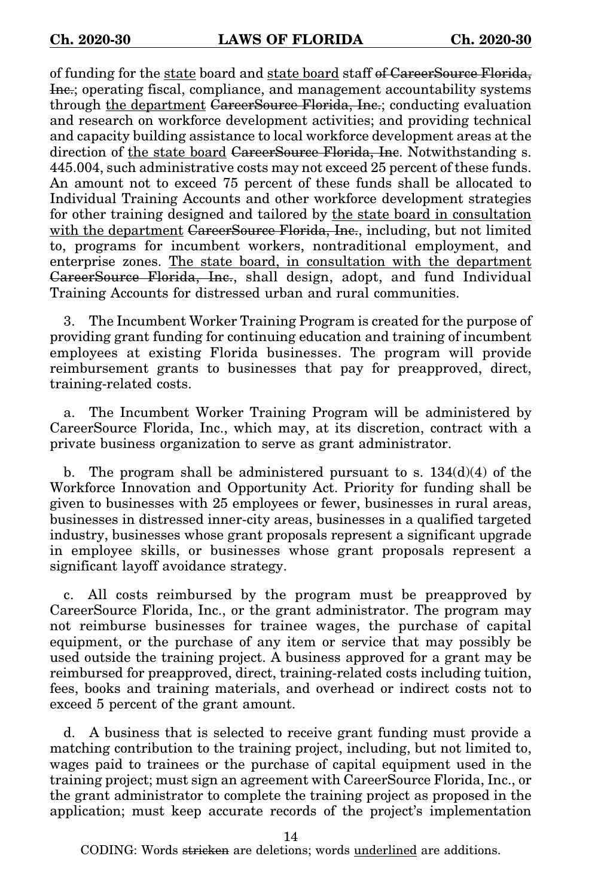of funding for the state board and state board staff of CareerSource Florida, Inc.; operating fiscal, compliance, and management accountability systems through the department CareerSource Florida, Inc.; conducting evaluation and research on workforce development activities; and providing technical and capacity building assistance to local workforce development areas at the direction of the state board CareerSource Florida, Inc. Notwithstanding s. 445.004, such administrative costs may not exceed 25 percent of these funds. An amount not to exceed 75 percent of these funds shall be allocated to Individual Training Accounts and other workforce development strategies for other training designed and tailored by the state board in consultation with the department CareerSource Florida, Inc., including, but not limited to, programs for incumbent workers, nontraditional employment, and enterprise zones. The state board, in consultation with the department CareerSource Florida, Inc., shall design, adopt, and fund Individual Training Accounts for distressed urban and rural communities.

3. The Incumbent Worker Training Program is created for the purpose of providing grant funding for continuing education and training of incumbent employees at existing Florida businesses. The program will provide reimbursement grants to businesses that pay for preapproved, direct, training-related costs.

a. The Incumbent Worker Training Program will be administered by CareerSource Florida, Inc., which may, at its discretion, contract with a private business organization to serve as grant administrator.

b. The program shall be administered pursuant to s.  $134(d)(4)$  of the Workforce Innovation and Opportunity Act. Priority for funding shall be given to businesses with 25 employees or fewer, businesses in rural areas, businesses in distressed inner-city areas, businesses in a qualified targeted industry, businesses whose grant proposals represent a significant upgrade in employee skills, or businesses whose grant proposals represent a significant layoff avoidance strategy.

c. All costs reimbursed by the program must be preapproved by CareerSource Florida, Inc., or the grant administrator. The program may not reimburse businesses for trainee wages, the purchase of capital equipment, or the purchase of any item or service that may possibly be used outside the training project. A business approved for a grant may be reimbursed for preapproved, direct, training-related costs including tuition, fees, books and training materials, and overhead or indirect costs not to exceed 5 percent of the grant amount.

d. A business that is selected to receive grant funding must provide a matching contribution to the training project, including, but not limited to, wages paid to trainees or the purchase of capital equipment used in the training project; must sign an agreement with CareerSource Florida, Inc., or the grant administrator to complete the training project as proposed in the application; must keep accurate records of the project's implementation

14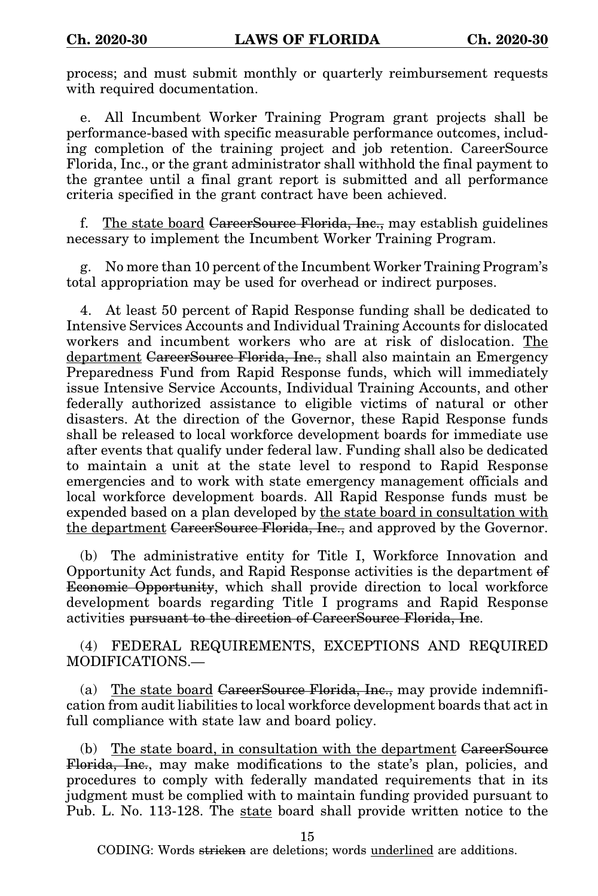process; and must submit monthly or quarterly reimbursement requests with required documentation.

e. All Incumbent Worker Training Program grant projects shall be performance-based with specific measurable performance outcomes, including completion of the training project and job retention. CareerSource Florida, Inc., or the grant administrator shall withhold the final payment to the grantee until a final grant report is submitted and all performance criteria specified in the grant contract have been achieved.

f. The state board CareerSource Florida, Inc., may establish guidelines necessary to implement the Incumbent Worker Training Program.

g. No more than 10 percent of the Incumbent Worker Training Program's total appropriation may be used for overhead or indirect purposes.

4. At least 50 percent of Rapid Response funding shall be dedicated to Intensive Services Accounts and Individual Training Accounts for dislocated workers and incumbent workers who are at risk of dislocation. The department CareerSource Florida, Inc., shall also maintain an Emergency Preparedness Fund from Rapid Response funds, which will immediately issue Intensive Service Accounts, Individual Training Accounts, and other federally authorized assistance to eligible victims of natural or other disasters. At the direction of the Governor, these Rapid Response funds shall be released to local workforce development boards for immediate use after events that qualify under federal law. Funding shall also be dedicated to maintain a unit at the state level to respond to Rapid Response emergencies and to work with state emergency management officials and local workforce development boards. All Rapid Response funds must be expended based on a plan developed by the state board in consultation with the department CareerSource Florida, Inc., and approved by the Governor.

(b) The administrative entity for Title I, Workforce Innovation and Opportunity Act funds, and Rapid Response activities is the department of Economic Opportunity, which shall provide direction to local workforce development boards regarding Title I programs and Rapid Response activities pursuant to the direction of CareerSource Florida, Inc.

(4) FEDERAL REQUIREMENTS, EXCEPTIONS AND REQUIRED MODIFICATIONS.—

(a) The state board CareerSource Florida, Inc., may provide indemnification from audit liabilities to local workforce development boards that act in full compliance with state law and board policy.

(b) The state board, in consultation with the department CareerSource Florida, Inc., may make modifications to the state's plan, policies, and procedures to comply with federally mandated requirements that in its judgment must be complied with to maintain funding provided pursuant to Pub. L. No. 113-128. The state board shall provide written notice to the

15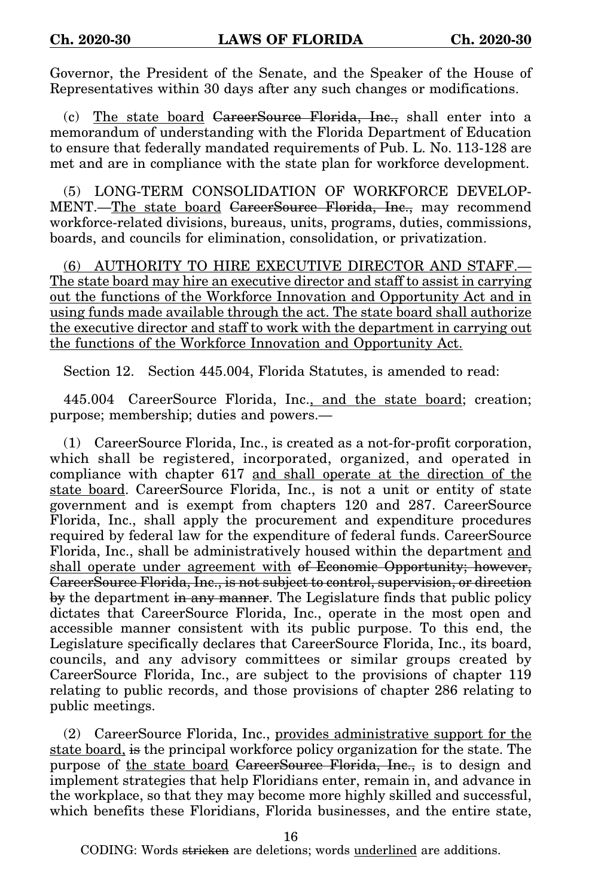Governor, the President of the Senate, and the Speaker of the House of Representatives within 30 days after any such changes or modifications.

(c) The state board CareerSource Florida, Inc., shall enter into a memorandum of understanding with the Florida Department of Education to ensure that federally mandated requirements of Pub. L. No. 113-128 are met and are in compliance with the state plan for workforce development.

(5) LONG-TERM CONSOLIDATION OF WORKFORCE DEVELOP-MENT.—The state board CareerSource Florida, Inc., may recommend workforce-related divisions, bureaus, units, programs, duties, commissions, boards, and councils for elimination, consolidation, or privatization.

(6) AUTHORITY TO HIRE EXECUTIVE DIRECTOR AND STAFF.— The state board may hire an executive director and staff to assist in carrying out the functions of the Workforce Innovation and Opportunity Act and in using funds made available through the act. The state board shall authorize the executive director and staff to work with the department in carrying out the functions of the Workforce Innovation and Opportunity Act.

Section 12. Section 445.004, Florida Statutes, is amended to read:

445.004 CareerSource Florida, Inc., and the state board; creation; purpose; membership; duties and powers.—

(1) CareerSource Florida, Inc., is created as a not-for-profit corporation, which shall be registered, incorporated, organized, and operated in compliance with chapter 617 and shall operate at the direction of the state board. CareerSource Florida, Inc., is not a unit or entity of state government and is exempt from chapters 120 and 287. CareerSource Florida, Inc., shall apply the procurement and expenditure procedures required by federal law for the expenditure of federal funds. CareerSource Florida, Inc., shall be administratively housed within the department and shall operate under agreement with of Economic Opportunity; however, CareerSource Florida, Inc., is not subject to control, supervision, or direction by the department in any manner. The Legislature finds that public policy dictates that CareerSource Florida, Inc., operate in the most open and accessible manner consistent with its public purpose. To this end, the Legislature specifically declares that CareerSource Florida, Inc., its board, councils, and any advisory committees or similar groups created by CareerSource Florida, Inc., are subject to the provisions of chapter 119 relating to public records, and those provisions of chapter 286 relating to public meetings.

(2) CareerSource Florida, Inc., provides administrative support for the state board, is the principal workforce policy organization for the state. The purpose of the state board CareerSource Florida, Inc., is to design and implement strategies that help Floridians enter, remain in, and advance in the workplace, so that they may become more highly skilled and successful, which benefits these Floridians, Florida businesses, and the entire state,

16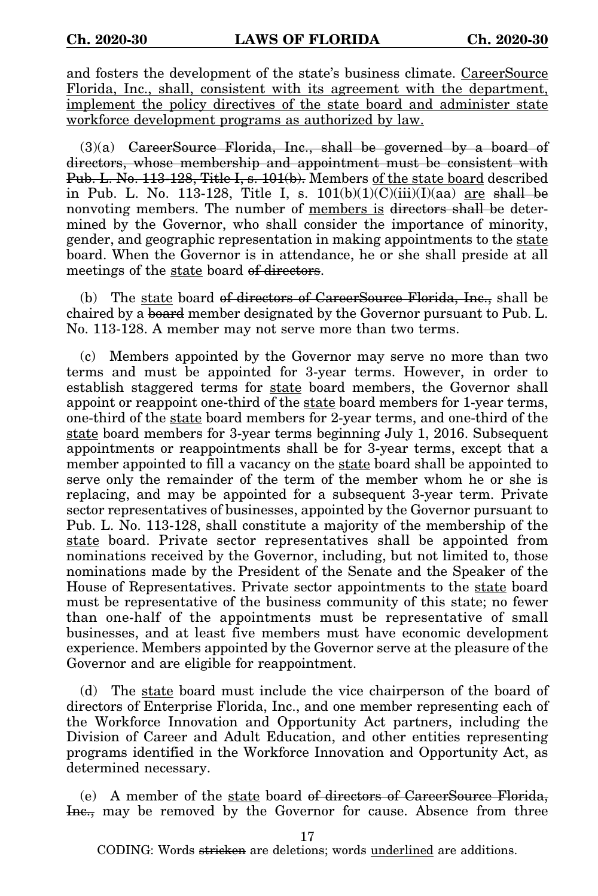and fosters the development of the state's business climate. CareerSource Florida, Inc., shall, consistent with its agreement with the department, implement the policy directives of the state board and administer state workforce development programs as authorized by law.

 $(3)(a)$  CareerSource Florida, Inc., shall be governed by a board of directors, whose membership and appointment must be consistent with Pub. L. No. 113-128, Title I, s. 101(b). Members of the state board described in Pub. L. No. 113-128, Title I, s.  $101(b)(1)(C)(iii)(I)(aa)$  are shall be nonvoting members. The number of members is directors shall be determined by the Governor, who shall consider the importance of minority, gender, and geographic representation in making appointments to the state board. When the Governor is in attendance, he or she shall preside at all meetings of the state board of directors.

(b) The state board of directors of CareerSource Florida, Inc., shall be chaired by a board member designated by the Governor pursuant to Pub. L. No. 113-128. A member may not serve more than two terms.

(c) Members appointed by the Governor may serve no more than two terms and must be appointed for 3-year terms. However, in order to establish staggered terms for state board members, the Governor shall appoint or reappoint one-third of the state board members for 1-year terms, one-third of the state board members for 2-year terms, and one-third of the state board members for 3-year terms beginning July 1, 2016. Subsequent appointments or reappointments shall be for 3-year terms, except that a member appointed to fill a vacancy on the state board shall be appointed to serve only the remainder of the term of the member whom he or she is replacing, and may be appointed for a subsequent 3-year term. Private sector representatives of businesses, appointed by the Governor pursuant to Pub. L. No. 113-128, shall constitute a majority of the membership of the state board. Private sector representatives shall be appointed from nominations received by the Governor, including, but not limited to, those nominations made by the President of the Senate and the Speaker of the House of Representatives. Private sector appointments to the state board must be representative of the business community of this state; no fewer than one-half of the appointments must be representative of small businesses, and at least five members must have economic development experience. Members appointed by the Governor serve at the pleasure of the Governor and are eligible for reappointment.

(d) The state board must include the vice chairperson of the board of directors of Enterprise Florida, Inc., and one member representing each of the Workforce Innovation and Opportunity Act partners, including the Division of Career and Adult Education, and other entities representing programs identified in the Workforce Innovation and Opportunity Act, as determined necessary.

(e) A member of the state board of directors of CareerSource Florida, Inc., may be removed by the Governor for cause. Absence from three

17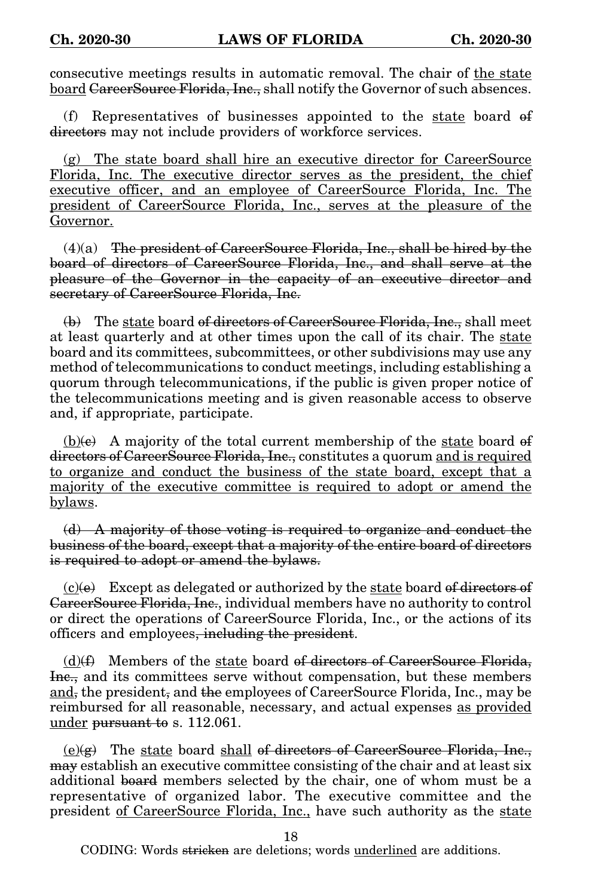consecutive meetings results in automatic removal. The chair of the state board CareerSource Florida, Inc., shall notify the Governor of such absences.

(f) Representatives of businesses appointed to the state board of directors may not include providers of workforce services.

(g) The state board shall hire an executive director for CareerSource Florida, Inc. The executive director serves as the president, the chief executive officer, and an employee of CareerSource Florida, Inc. The president of CareerSource Florida, Inc., serves at the pleasure of the Governor.

 $(4)(a)$  The president of CareerSource Florida, Inc., shall be hired by the board of directors of CareerSource Florida, Inc., and shall serve at the pleasure of the Governor in the capacity of an executive director and secretary of CareerSource Florida, Inc.

 $(b)$  The state board of directors of CareerSource Florida, Inc., shall meet at least quarterly and at other times upon the call of its chair. The state board and its committees, subcommittees, or other subdivisions may use any method of telecommunications to conduct meetings, including establishing a quorum through telecommunications, if the public is given proper notice of the telecommunications meeting and is given reasonable access to observe and, if appropriate, participate.

 $(b)(e)$  A majority of the total current membership of the state board of directors of CareerSource Florida, Inc., constitutes a quorum and is required to organize and conduct the business of the state board, except that a majority of the executive committee is required to adopt or amend the bylaws.

(d) A majority of those voting is required to organize and conduct the business of the board, except that a majority of the entire board of directors is required to adopt or amend the bylaws.

 $(c)(e)$  Except as delegated or authorized by the state board of directors of CareerSource Florida, Inc., individual members have no authority to control or direct the operations of CareerSource Florida, Inc., or the actions of its officers and employees, including the president.

 $(d)$ (f) Members of the state board of directors of CareerSource Florida, Inc., and its committees serve without compensation, but these members and, the president, and the employees of CareerSource Florida, Inc., may be reimbursed for all reasonable, necessary, and actual expenses as provided under pursuant to s. 112.061.

 $(e)(g)$  The state board shall of directors of CareerSource Florida, Inc., may establish an executive committee consisting of the chair and at least six additional board members selected by the chair, one of whom must be a representative of organized labor. The executive committee and the president of CareerSource Florida, Inc., have such authority as the state

18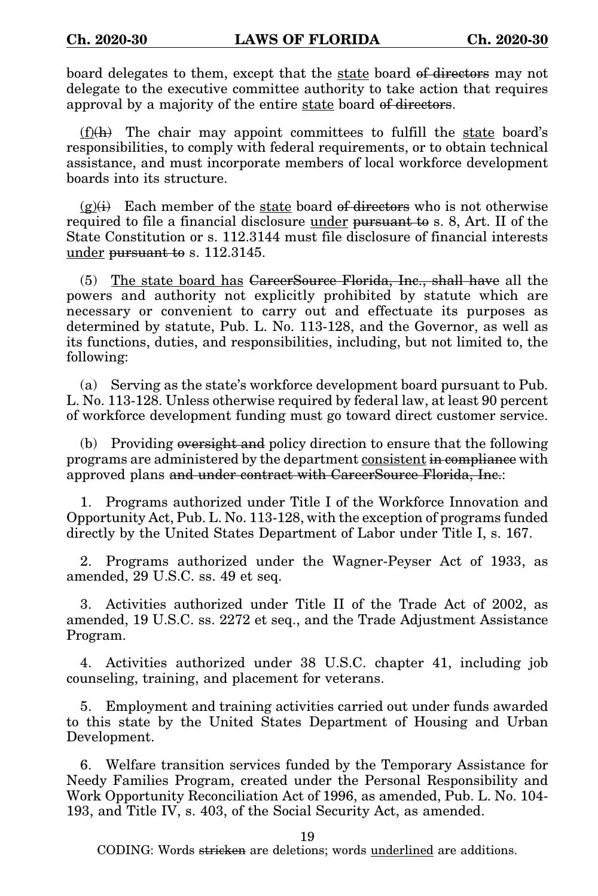board delegates to them, except that the state board of directors may not delegate to the executive committee authority to take action that requires approval by a majority of the entire state board of directors.

 $(f)(h)$  The chair may appoint committees to fulfill the state board's responsibilities, to comply with federal requirements, or to obtain technical assistance, and must incorporate members of local workforce development boards into its structure.

 $(g)(i)$  Each member of the state board of directors who is not otherwise required to file a financial disclosure under pursuant to s. 8, Art. II of the State Constitution or s. 112.3144 must file disclosure of financial interests under pursuant to s. 112.3145.

(5) The state board has CareerSource Florida, Inc., shall have all the powers and authority not explicitly prohibited by statute which are necessary or convenient to carry out and effectuate its purposes as determined by statute, Pub. L. No. 113-128, and the Governor, as well as its functions, duties, and responsibilities, including, but not limited to, the following:

(a) Serving as the state's workforce development board pursuant to Pub. L. No. 113-128. Unless otherwise required by federal law, at least 90 percent of workforce development funding must go toward direct customer service.

(b) Providing oversight and policy direction to ensure that the following programs are administered by the department consistent in compliance with approved plans and under contract with CareerSource Florida, Inc.:

1. Programs authorized under Title I of the Workforce Innovation and Opportunity Act, Pub. L. No. 113-128, with the exception of programs funded directly by the United States Department of Labor under Title I, s. 167.

2. Programs authorized under the Wagner-Peyser Act of 1933, as amended, 29 U.S.C. ss. 49 et seq.

3. Activities authorized under Title II of the Trade Act of 2002, as amended, 19 U.S.C. ss. 2272 et seq., and the Trade Adjustment Assistance Program.

4. Activities authorized under 38 U.S.C. chapter 41, including job counseling, training, and placement for veterans.

5. Employment and training activities carried out under funds awarded to this state by the United States Department of Housing and Urban Development.

6. Welfare transition services funded by the Temporary Assistance for Needy Families Program, created under the Personal Responsibility and Work Opportunity Reconciliation Act of 1996, as amended, Pub. L. No. 104- 193, and Title IV, s. 403, of the Social Security Act, as amended.

19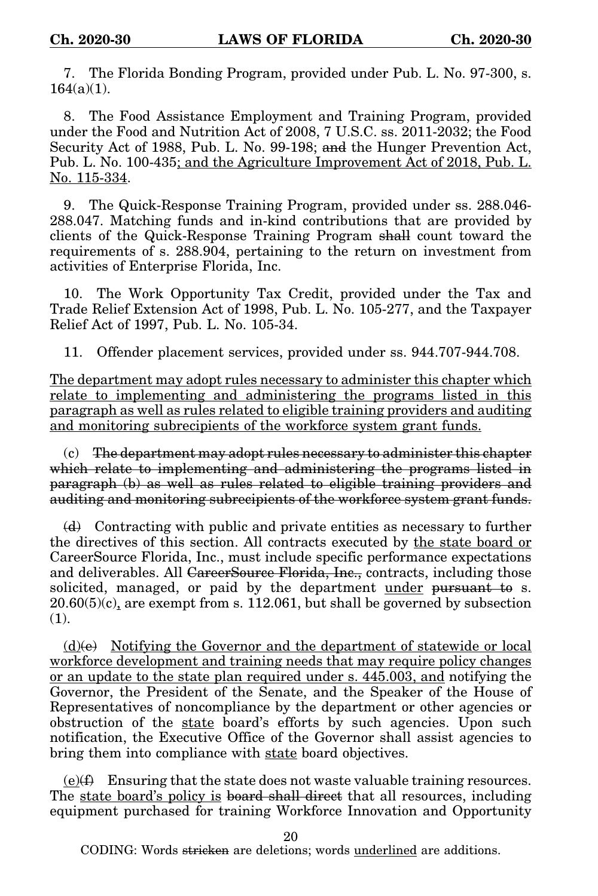7. The Florida Bonding Program, provided under Pub. L. No. 97-300, s.  $164(a)(1)$ .

8. The Food Assistance Employment and Training Program, provided under the Food and Nutrition Act of 2008, 7 U.S.C. ss. 2011-2032; the Food Security Act of 1988, Pub. L. No. 99-198; and the Hunger Prevention Act, Pub. L. No. 100-435; and the Agriculture Improvement Act of 2018, Pub. L. No. 115-334.

9. The Quick-Response Training Program, provided under ss. 288.046- 288.047. Matching funds and in-kind contributions that are provided by clients of the Quick-Response Training Program shall count toward the requirements of s. 288.904, pertaining to the return on investment from activities of Enterprise Florida, Inc.

10. The Work Opportunity Tax Credit, provided under the Tax and Trade Relief Extension Act of 1998, Pub. L. No. 105-277, and the Taxpayer Relief Act of 1997, Pub. L. No. 105-34.

11. Offender placement services, provided under ss. 944.707-944.708.

The department may adopt rules necessary to administer this chapter which relate to implementing and administering the programs listed in this paragraph as well as rules related to eligible training providers and auditing and monitoring subrecipients of the workforce system grant funds.

(c) The department may adopt rules necessary to administer this chapter which relate to implementing and administering the programs listed in paragraph (b) as well as rules related to eligible training providers and auditing and monitoring subrecipients of the workforce system grant funds.

(d) Contracting with public and private entities as necessary to further the directives of this section. All contracts executed by the state board or CareerSource Florida, Inc., must include specific performance expectations and deliverables. All CareerSource Florida, Inc., contracts, including those solicited, managed, or paid by the department under pursuant to s.  $20.60(5)(c)$ , are exempt from s. 112.061, but shall be governed by subsection (1).

 $(d)$ (e) Notifying the Governor and the department of statewide or local workforce development and training needs that may require policy changes or an update to the state plan required under s. 445,003, and notifying the Governor, the President of the Senate, and the Speaker of the House of Representatives of noncompliance by the department or other agencies or obstruction of the state board's efforts by such agencies. Upon such notification, the Executive Office of the Governor shall assist agencies to bring them into compliance with state board objectives.

 $(e)$  Ensuring that the state does not waste valuable training resources. The state board's policy is board shall direct that all resources, including equipment purchased for training Workforce Innovation and Opportunity

20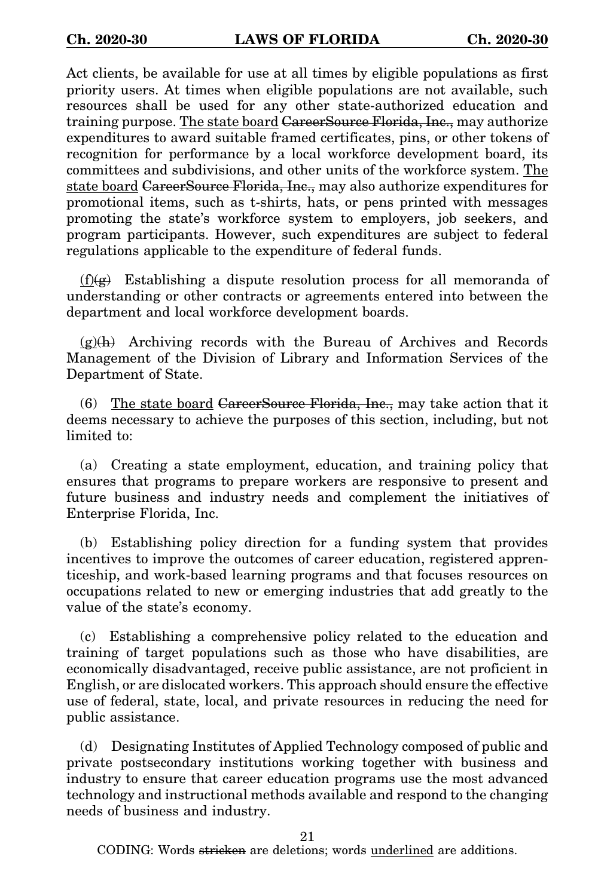Act clients, be available for use at all times by eligible populations as first priority users. At times when eligible populations are not available, such resources shall be used for any other state-authorized education and training purpose. The state board CareerSource Florida, Inc., may authorize expenditures to award suitable framed certificates, pins, or other tokens of recognition for performance by a local workforce development board, its committees and subdivisions, and other units of the workforce system. The state board CareerSource Florida, Inc., may also authorize expenditures for promotional items, such as t-shirts, hats, or pens printed with messages promoting the state's workforce system to employers, job seekers, and program participants. However, such expenditures are subject to federal regulations applicable to the expenditure of federal funds.

 $(f)(g)$  Establishing a dispute resolution process for all memoranda of understanding or other contracts or agreements entered into between the department and local workforce development boards.

 $(g)(h)$  Archiving records with the Bureau of Archives and Records Management of the Division of Library and Information Services of the Department of State.

 $(6)$  The state board CareerSource Florida, Inc., may take action that it deems necessary to achieve the purposes of this section, including, but not limited to:

(a) Creating a state employment, education, and training policy that ensures that programs to prepare workers are responsive to present and future business and industry needs and complement the initiatives of Enterprise Florida, Inc.

(b) Establishing policy direction for a funding system that provides incentives to improve the outcomes of career education, registered apprenticeship, and work-based learning programs and that focuses resources on occupations related to new or emerging industries that add greatly to the value of the state's economy.

(c) Establishing a comprehensive policy related to the education and training of target populations such as those who have disabilities, are economically disadvantaged, receive public assistance, are not proficient in English, or are dislocated workers. This approach should ensure the effective use of federal, state, local, and private resources in reducing the need for public assistance.

(d) Designating Institutes of Applied Technology composed of public and private postsecondary institutions working together with business and industry to ensure that career education programs use the most advanced technology and instructional methods available and respond to the changing needs of business and industry.

21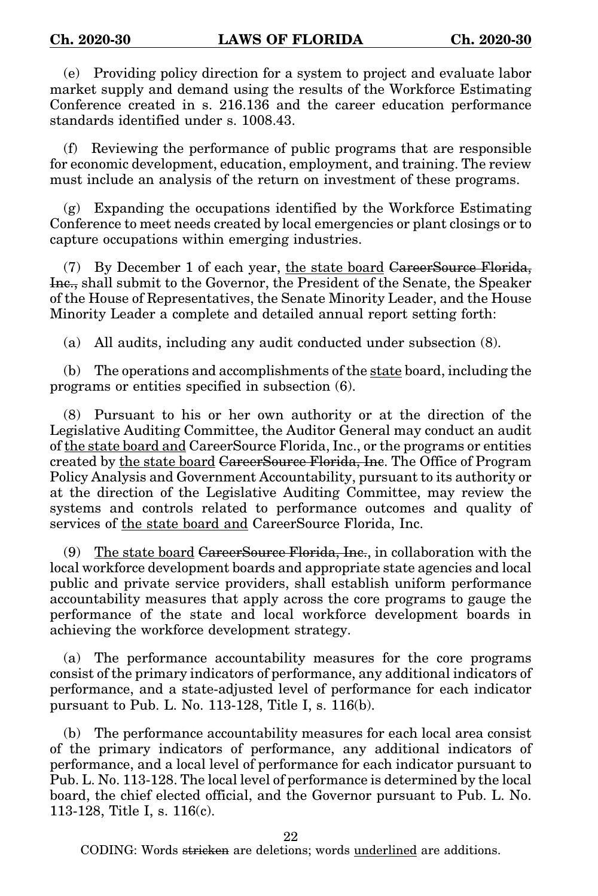(e) Providing policy direction for a system to project and evaluate labor market supply and demand using the results of the Workforce Estimating Conference created in s. 216.136 and the career education performance standards identified under s. 1008.43.

(f) Reviewing the performance of public programs that are responsible for economic development, education, employment, and training. The review must include an analysis of the return on investment of these programs.

(g) Expanding the occupations identified by the Workforce Estimating Conference to meet needs created by local emergencies or plant closings or to capture occupations within emerging industries.

(7) By December 1 of each year, the state board CareerSource Florida, Inc., shall submit to the Governor, the President of the Senate, the Speaker of the House of Representatives, the Senate Minority Leader, and the House Minority Leader a complete and detailed annual report setting forth:

(a) All audits, including any audit conducted under subsection (8).

(b) The operations and accomplishments of the state board, including the programs or entities specified in subsection (6).

(8) Pursuant to his or her own authority or at the direction of the Legislative Auditing Committee, the Auditor General may conduct an audit of the state board and CareerSource Florida, Inc., or the programs or entities created by the state board CareerSource Florida, Inc. The Office of Program Policy Analysis and Government Accountability, pursuant to its authority or at the direction of the Legislative Auditing Committee, may review the systems and controls related to performance outcomes and quality of services of the state board and CareerSource Florida, Inc.

(9) The state board CareerSource Florida, Inc., in collaboration with the local workforce development boards and appropriate state agencies and local public and private service providers, shall establish uniform performance accountability measures that apply across the core programs to gauge the performance of the state and local workforce development boards in achieving the workforce development strategy.

(a) The performance accountability measures for the core programs consist of the primary indicators of performance, any additional indicators of performance, and a state-adjusted level of performance for each indicator pursuant to Pub. L. No. 113-128, Title I, s. 116(b).

(b) The performance accountability measures for each local area consist of the primary indicators of performance, any additional indicators of performance, and a local level of performance for each indicator pursuant to Pub. L. No. 113-128. The local level of performance is determined by the local board, the chief elected official, and the Governor pursuant to Pub. L. No. 113-128, Title I, s. 116(c).

22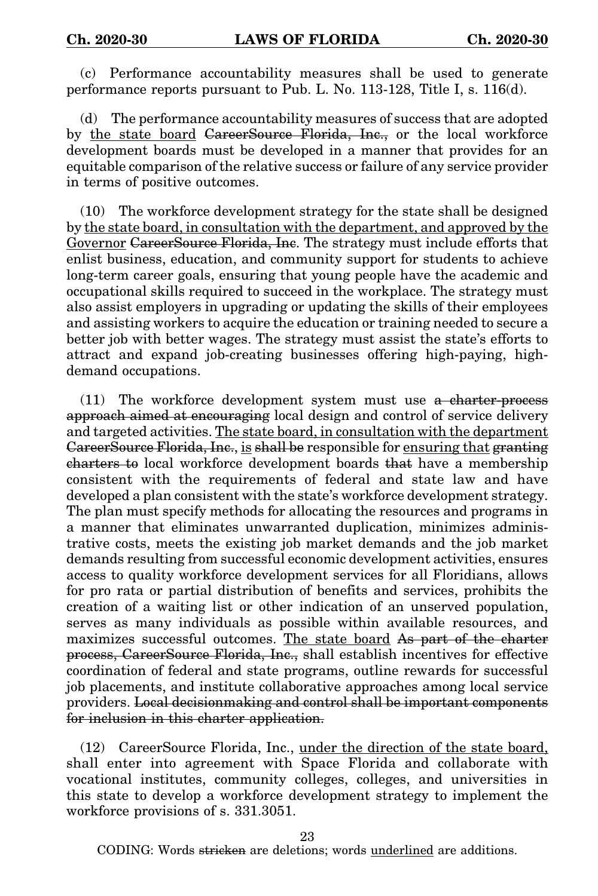(c) Performance accountability measures shall be used to generate performance reports pursuant to Pub. L. No. 113-128, Title I, s. 116(d).

(d) The performance accountability measures of success that are adopted by the state board CareerSource Florida, Inc., or the local workforce development boards must be developed in a manner that provides for an equitable comparison of the relative success or failure of any service provider in terms of positive outcomes.

(10) The workforce development strategy for the state shall be designed by the state board, in consultation with the department, and approved by the Governor CareerSource Florida, Inc. The strategy must include efforts that enlist business, education, and community support for students to achieve long-term career goals, ensuring that young people have the academic and occupational skills required to succeed in the workplace. The strategy must also assist employers in upgrading or updating the skills of their employees and assisting workers to acquire the education or training needed to secure a better job with better wages. The strategy must assist the state's efforts to attract and expand job-creating businesses offering high-paying, highdemand occupations.

(11) The workforce development system must use a charter-process approach aimed at encouraging local design and control of service delivery and targeted activities. The state board, in consultation with the department CareerSource Florida, Inc., is shall be responsible for ensuring that granting charters to local workforce development boards that have a membership consistent with the requirements of federal and state law and have developed a plan consistent with the state's workforce development strategy. The plan must specify methods for allocating the resources and programs in a manner that eliminates unwarranted duplication, minimizes administrative costs, meets the existing job market demands and the job market demands resulting from successful economic development activities, ensures access to quality workforce development services for all Floridians, allows for pro rata or partial distribution of benefits and services, prohibits the creation of a waiting list or other indication of an unserved population, serves as many individuals as possible within available resources, and maximizes successful outcomes. The state board As part of the charter process, CareerSource Florida, Inc., shall establish incentives for effective coordination of federal and state programs, outline rewards for successful job placements, and institute collaborative approaches among local service providers. Local decisionmaking and control shall be important components for inclusion in this charter application.

(12) CareerSource Florida, Inc., under the direction of the state board, shall enter into agreement with Space Florida and collaborate with vocational institutes, community colleges, colleges, and universities in this state to develop a workforce development strategy to implement the workforce provisions of s. 331.3051.

23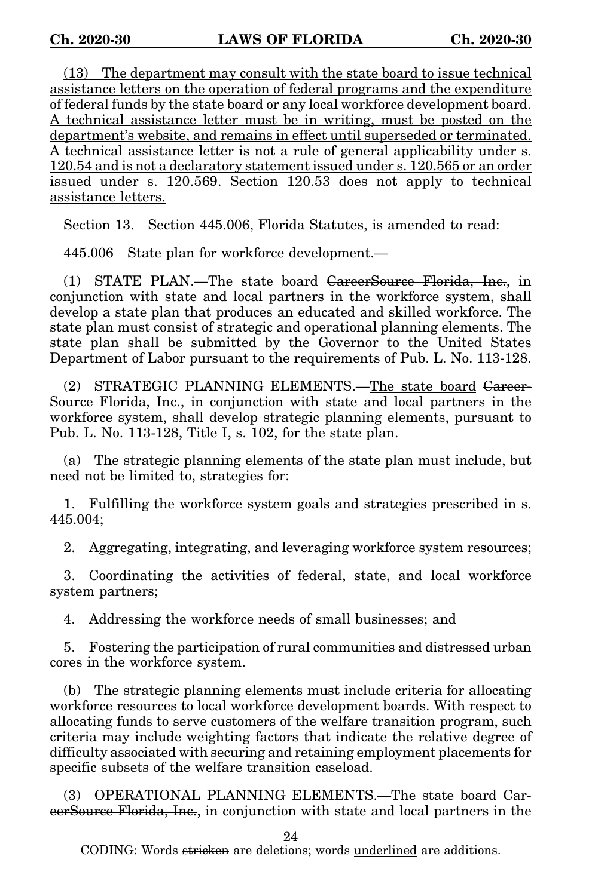(13) The department may consult with the state board to issue technical assistance letters on the operation of federal programs and the expenditure of federal funds by the state board or any local workforce development board. A technical assistance letter must be in writing, must be posted on the department's website, and remains in effect until superseded or terminated. A technical assistance letter is not a rule of general applicability under s. 120.54 and is not a declaratory statement issued under s. 120.565 or an order issued under s. 120.569. Section 120.53 does not apply to technical assistance letters.

Section 13. Section 445.006, Florida Statutes, is amended to read:

445.006 State plan for workforce development.—

(1) STATE PLAN.—The state board CareerSource Florida, Inc., in conjunction with state and local partners in the workforce system, shall develop a state plan that produces an educated and skilled workforce. The state plan must consist of strategic and operational planning elements. The state plan shall be submitted by the Governor to the United States Department of Labor pursuant to the requirements of Pub. L. No. 113-128.

(2) STRATEGIC PLANNING ELEMENTS.—The state board Career-Source Florida, Inc., in conjunction with state and local partners in the workforce system, shall develop strategic planning elements, pursuant to Pub. L. No. 113-128, Title I, s. 102, for the state plan.

(a) The strategic planning elements of the state plan must include, but need not be limited to, strategies for:

1. Fulfilling the workforce system goals and strategies prescribed in s. 445.004;

2. Aggregating, integrating, and leveraging workforce system resources;

3. Coordinating the activities of federal, state, and local workforce system partners;

4. Addressing the workforce needs of small businesses; and

5. Fostering the participation of rural communities and distressed urban cores in the workforce system.

(b) The strategic planning elements must include criteria for allocating workforce resources to local workforce development boards. With respect to allocating funds to serve customers of the welfare transition program, such criteria may include weighting factors that indicate the relative degree of difficulty associated with securing and retaining employment placements for specific subsets of the welfare transition caseload.

(3) OPERATIONAL PLANNING ELEMENTS.—The state board CareerSource Florida, Inc., in conjunction with state and local partners in the

24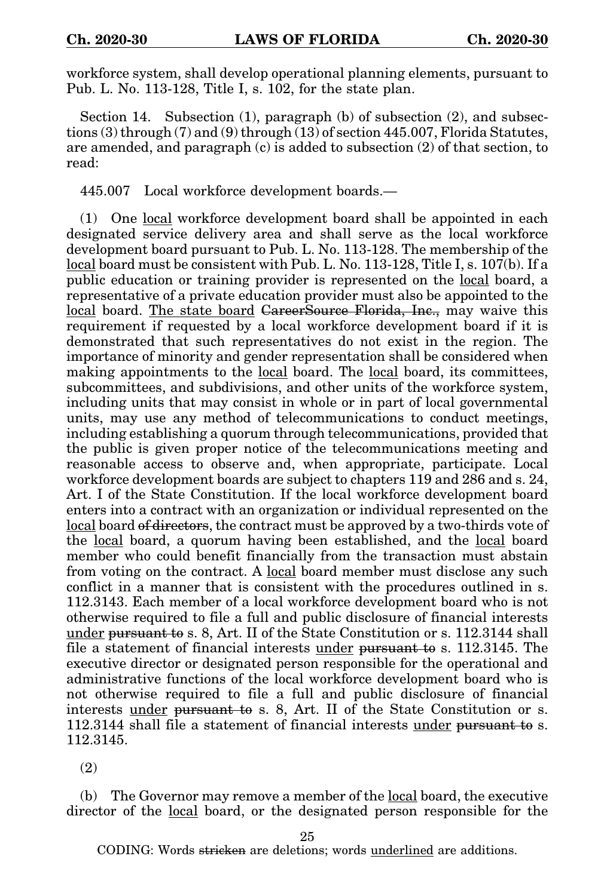workforce system, shall develop operational planning elements, pursuant to Pub. L. No. 113-128, Title I, s. 102, for the state plan.

Section 14. Subsection (1), paragraph (b) of subsection (2), and subsections (3) through (7) and (9) through (13) of section 445.007, Florida Statutes, are amended, and paragraph (c) is added to subsection (2) of that section, to read:

445.007 Local workforce development boards.—

(1) One local workforce development board shall be appointed in each designated service delivery area and shall serve as the local workforce development board pursuant to Pub. L. No. 113-128. The membership of the local board must be consistent with Pub. L. No. 113-128, Title I, s. 107(b). If a public education or training provider is represented on the local board, a representative of a private education provider must also be appointed to the local board. The state board GareerSource Florida, Inc., may waive this requirement if requested by a local workforce development board if it is demonstrated that such representatives do not exist in the region. The importance of minority and gender representation shall be considered when making appointments to the local board. The local board, its committees, subcommittees, and subdivisions, and other units of the workforce system, including units that may consist in whole or in part of local governmental units, may use any method of telecommunications to conduct meetings, including establishing a quorum through telecommunications, provided that the public is given proper notice of the telecommunications meeting and reasonable access to observe and, when appropriate, participate. Local workforce development boards are subject to chapters 119 and 286 and s. 24, Art. I of the State Constitution. If the local workforce development board enters into a contract with an organization or individual represented on the local board of directors, the contract must be approved by a two-thirds vote of the local board, a quorum having been established, and the local board member who could benefit financially from the transaction must abstain from voting on the contract. A <u>local</u> board member must disclose any such conflict in a manner that is consistent with the procedures outlined in s. 112.3143. Each member of a local workforce development board who is not otherwise required to file a full and public disclosure of financial interests under pursuant to s. 8, Art. II of the State Constitution or s. 112.3144 shall file a statement of financial interests under pursuant to s. 112.3145. The executive director or designated person responsible for the operational and administrative functions of the local workforce development board who is not otherwise required to file a full and public disclosure of financial interests under pursuant to s. 8, Art. II of the State Constitution or s. 112.3144 shall file a statement of financial interests under pursuant to s. 112.3145.

(2)

(b) The Governor may remove a member of the local board, the executive director of the <u>local</u> board, or the designated person responsible for the

25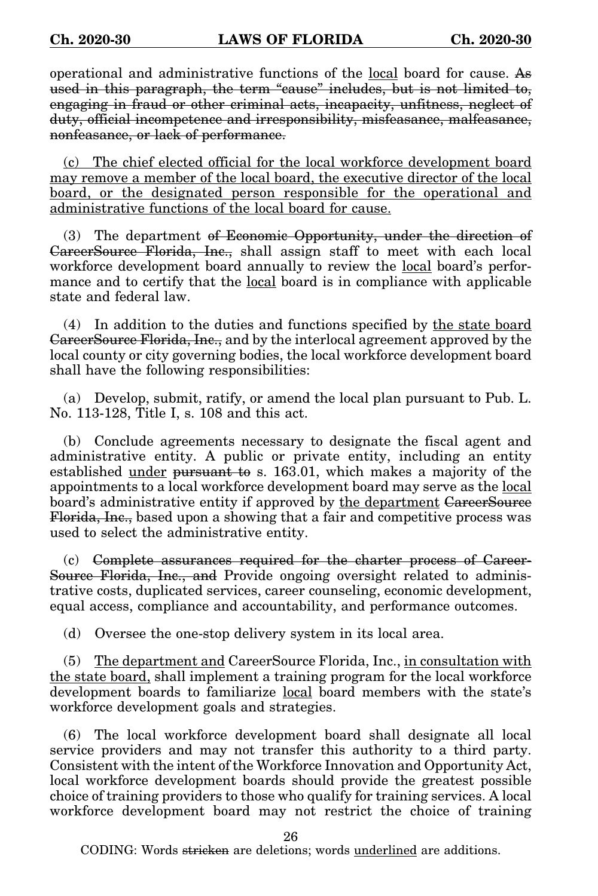operational and administrative functions of the local board for cause. As used in this paragraph, the term "cause" includes, but is not limited to, engaging in fraud or other criminal acts, incapacity, unfitness, neglect of duty, official incompetence and irresponsibility, misfeasance, malfeasance, nonfeasance, or lack of performance.

(c) The chief elected official for the local workforce development board may remove a member of the local board, the executive director of the local board, or the designated person responsible for the operational and administrative functions of the local board for cause.

(3) The department of Economic Opportunity, under the direction of CareerSource Florida, Inc., shall assign staff to meet with each local workforce development board annually to review the local board's performance and to certify that the local board is in compliance with applicable state and federal law.

(4) In addition to the duties and functions specified by the state board CareerSource Florida, Inc., and by the interlocal agreement approved by the local county or city governing bodies, the local workforce development board shall have the following responsibilities:

(a) Develop, submit, ratify, or amend the local plan pursuant to Pub. L. No. 113-128, Title I, s. 108 and this act.

(b) Conclude agreements necessary to designate the fiscal agent and administrative entity. A public or private entity, including an entity established under pursuant to s. 163.01, which makes a majority of the appointments to a local workforce development board may serve as the local board's administrative entity if approved by the department GareerSource Florida, Inc., based upon a showing that a fair and competitive process was used to select the administrative entity.

(c) Complete assurances required for the charter process of Career-Source Florida, Inc., and Provide ongoing oversight related to administrative costs, duplicated services, career counseling, economic development, equal access, compliance and accountability, and performance outcomes.

(d) Oversee the one-stop delivery system in its local area.

(5) The department and CareerSource Florida, Inc., in consultation with the state board, shall implement a training program for the local workforce development boards to familiarize local board members with the state's workforce development goals and strategies.

(6) The local workforce development board shall designate all local service providers and may not transfer this authority to a third party. Consistent with the intent of the Workforce Innovation and Opportunity Act, local workforce development boards should provide the greatest possible choice of training providers to those who qualify for training services. A local workforce development board may not restrict the choice of training

26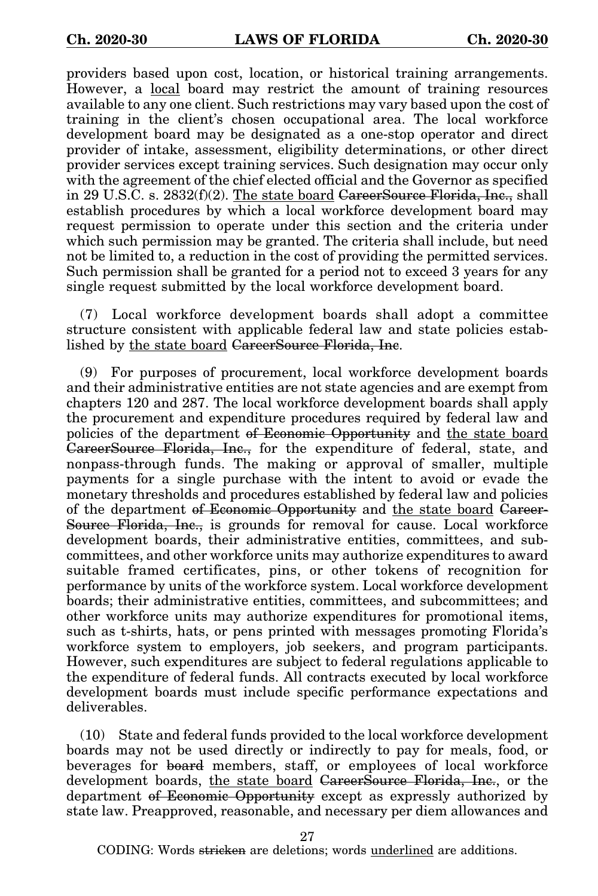providers based upon cost, location, or historical training arrangements. However, a local board may restrict the amount of training resources available to any one client. Such restrictions may vary based upon the cost of training in the client's chosen occupational area. The local workforce development board may be designated as a one-stop operator and direct provider of intake, assessment, eligibility determinations, or other direct provider services except training services. Such designation may occur only with the agreement of the chief elected official and the Governor as specified in 29 U.S.C. s. 2832(f)(2). The state board CareerSource Florida, Inc., shall establish procedures by which a local workforce development board may request permission to operate under this section and the criteria under which such permission may be granted. The criteria shall include, but need not be limited to, a reduction in the cost of providing the permitted services. Such permission shall be granted for a period not to exceed 3 years for any single request submitted by the local workforce development board.

(7) Local workforce development boards shall adopt a committee structure consistent with applicable federal law and state policies established by the state board CareerSource Florida, Inc.

(9) For purposes of procurement, local workforce development boards and their administrative entities are not state agencies and are exempt from chapters 120 and 287. The local workforce development boards shall apply the procurement and expenditure procedures required by federal law and policies of the department of Economic Opportunity and the state board CareerSource Florida, Inc., for the expenditure of federal, state, and nonpass-through funds. The making or approval of smaller, multiple payments for a single purchase with the intent to avoid or evade the monetary thresholds and procedures established by federal law and policies of the department of Economic Opportunity and the state board Career-Source Florida, Inc., is grounds for removal for cause. Local workforce development boards, their administrative entities, committees, and subcommittees, and other workforce units may authorize expenditures to award suitable framed certificates, pins, or other tokens of recognition for performance by units of the workforce system. Local workforce development boards; their administrative entities, committees, and subcommittees; and other workforce units may authorize expenditures for promotional items, such as t-shirts, hats, or pens printed with messages promoting Florida's workforce system to employers, job seekers, and program participants. However, such expenditures are subject to federal regulations applicable to the expenditure of federal funds. All contracts executed by local workforce development boards must include specific performance expectations and deliverables.

(10) State and federal funds provided to the local workforce development boards may not be used directly or indirectly to pay for meals, food, or beverages for board members, staff, or employees of local workforce development boards, the state board CareerSource Florida, Inc., or the department of Economic Opportunity except as expressly authorized by state law. Preapproved, reasonable, and necessary per diem allowances and

27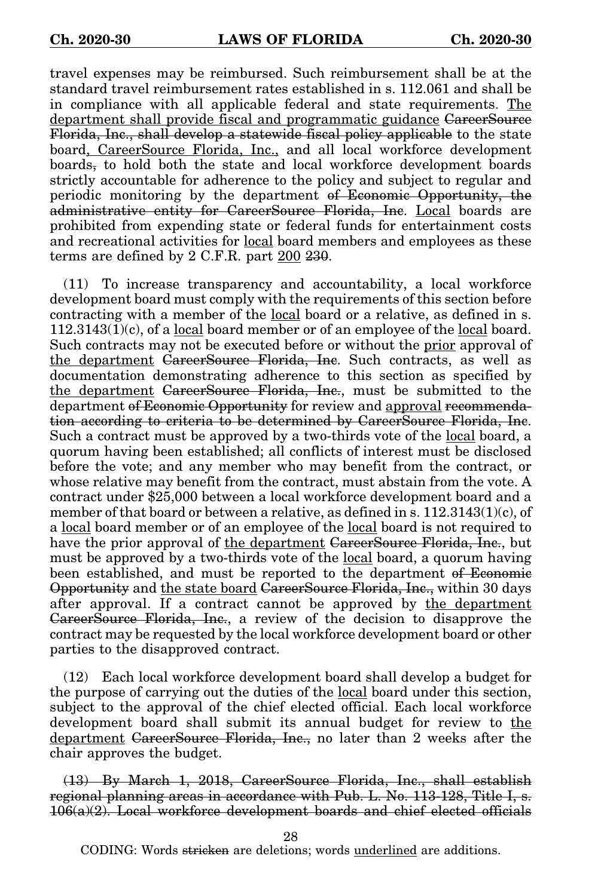travel expenses may be reimbursed. Such reimbursement shall be at the standard travel reimbursement rates established in s. 112.061 and shall be in compliance with all applicable federal and state requirements. The department shall provide fiscal and programmatic guidance CareerSource Florida, Inc., shall develop a statewide fiscal policy applicable to the state board, CareerSource Florida, Inc., and all local workforce development boards, to hold both the state and local workforce development boards strictly accountable for adherence to the policy and subject to regular and periodic monitoring by the department of Economic Opportunity, the administrative entity for CareerSource Florida, Inc. Local boards are prohibited from expending state or federal funds for entertainment costs and recreational activities for local board members and employees as these terms are defined by 2 C.F.R. part  $\frac{200}{230}$ .

(11) To increase transparency and accountability, a local workforce development board must comply with the requirements of this section before contracting with a member of the local board or a relative, as defined in s.  $112.3143(1)(c)$ , of a local board member or of an employee of the local board. Such contracts may not be executed before or without the prior approval of the department CareerSource Florida, Inc. Such contracts, as well as documentation demonstrating adherence to this section as specified by the department CareerSource Florida, Inc., must be submitted to the department of Economic Opportunity for review and approval recommendation according to criteria to be determined by CareerSource Florida, Inc. Such a contract must be approved by a two-thirds vote of the local board, a quorum having been established; all conflicts of interest must be disclosed before the vote; and any member who may benefit from the contract, or whose relative may benefit from the contract, must abstain from the vote. A contract under \$25,000 between a local workforce development board and a member of that board or between a relative, as defined in s.  $112.3143(1)(c)$ , of a local board member or of an employee of the local board is not required to have the prior approval of the department <del>CareerSource Florida, Inc.</del>, but must be approved by a two-thirds vote of the <u>local</u> board, a quorum having been established, and must be reported to the department of Economic Opportunity and the state board CareerSource Florida, Inc., within 30 days after approval. If a contract cannot be approved by the department CareerSource Florida, Inc., a review of the decision to disapprove the contract may be requested by the local workforce development board or other parties to the disapproved contract.

(12) Each local workforce development board shall develop a budget for the purpose of carrying out the duties of the local board under this section, subject to the approval of the chief elected official. Each local workforce development board shall submit its annual budget for review to the department <del>CareerSource Florida, Inc.,</del> no later than 2 weeks after the chair approves the budget.

(13) By March 1, 2018, CareerSource Florida, Inc., shall establish regional planning areas in accordance with Pub. L. No. 113-128, Title I, s. 106(a)(2). Local workforce development boards and chief elected officials

28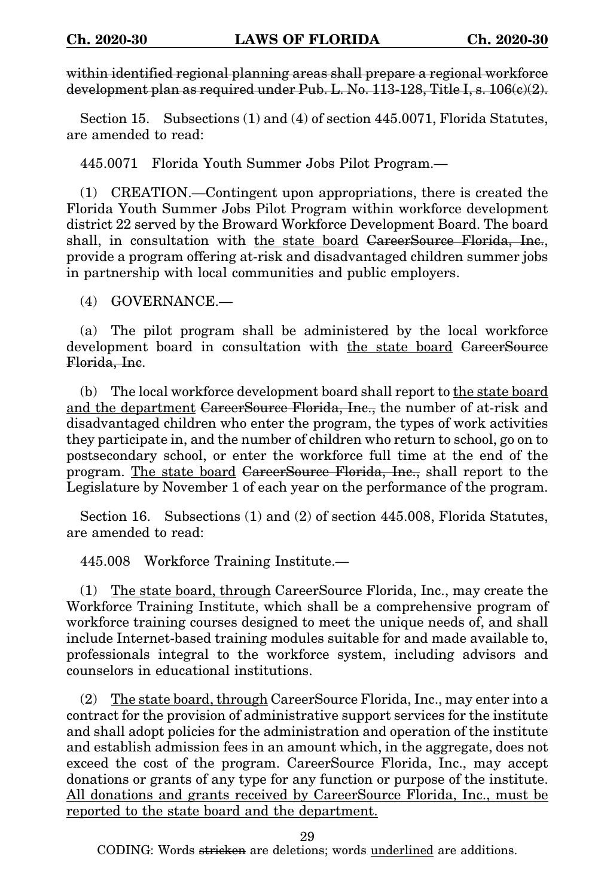within identified regional planning areas shall prepare a regional workforce development plan as required under Pub. L. No. 113-128, Title I, s. 106(e)(2).

Section 15. Subsections (1) and (4) of section 445.0071, Florida Statutes, are amended to read:

445.0071 Florida Youth Summer Jobs Pilot Program.—

(1) CREATION.—Contingent upon appropriations, there is created the Florida Youth Summer Jobs Pilot Program within workforce development district 22 served by the Broward Workforce Development Board. The board shall, in consultation with the state board CareerSource Florida, Inc., provide a program offering at-risk and disadvantaged children summer jobs in partnership with local communities and public employers.

(4) GOVERNANCE.—

(a) The pilot program shall be administered by the local workforce development board in consultation with the state board GareerSource Florida, Inc.

(b) The local workforce development board shall report to the state board and the department CareerSource Florida, Inc., the number of at-risk and disadvantaged children who enter the program, the types of work activities they participate in, and the number of children who return to school, go on to postsecondary school, or enter the workforce full time at the end of the program. The state board CareerSource Florida, Inc., shall report to the Legislature by November 1 of each year on the performance of the program.

Section 16. Subsections (1) and (2) of section 445.008, Florida Statutes, are amended to read:

445.008 Workforce Training Institute.—

(1) The state board, through CareerSource Florida, Inc., may create the Workforce Training Institute, which shall be a comprehensive program of workforce training courses designed to meet the unique needs of, and shall include Internet-based training modules suitable for and made available to, professionals integral to the workforce system, including advisors and counselors in educational institutions.

(2) The state board, through CareerSource Florida, Inc., may enter into a contract for the provision of administrative support services for the institute and shall adopt policies for the administration and operation of the institute and establish admission fees in an amount which, in the aggregate, does not exceed the cost of the program. CareerSource Florida, Inc., may accept donations or grants of any type for any function or purpose of the institute. All donations and grants received by CareerSource Florida, Inc., must be reported to the state board and the department.

29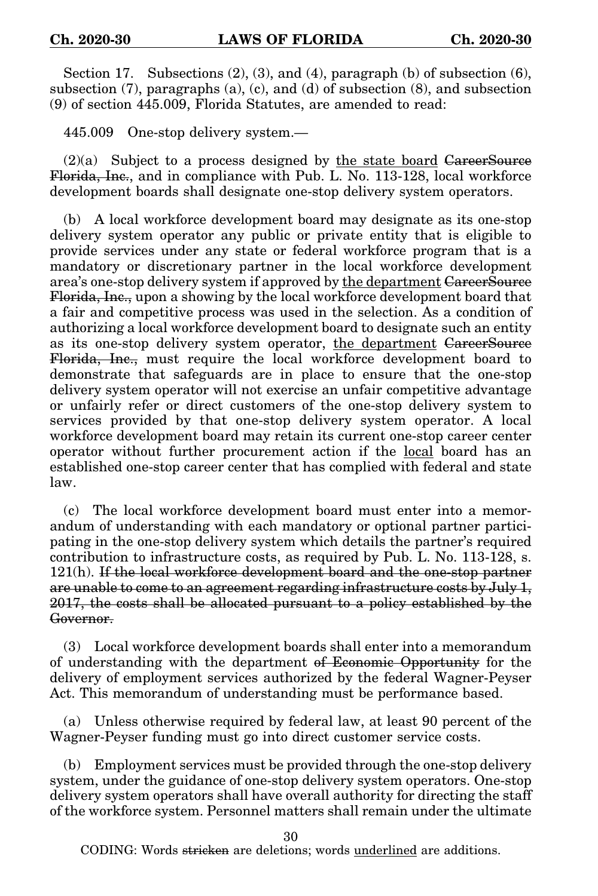Section 17. Subsections  $(2)$ ,  $(3)$ , and  $(4)$ , paragraph  $(b)$  of subsection  $(6)$ , subsection  $(7)$ , paragraphs  $(a)$ ,  $(c)$ , and  $(d)$  of subsection  $(8)$ , and subsection (9) of section 445.009, Florida Statutes, are amended to read:

445.009 One-stop delivery system.—

 $(2)(a)$  Subject to a process designed by the state board GareerSource Florida, Inc., and in compliance with Pub. L. No. 113-128, local workforce development boards shall designate one-stop delivery system operators.

(b) A local workforce development board may designate as its one-stop delivery system operator any public or private entity that is eligible to provide services under any state or federal workforce program that is a mandatory or discretionary partner in the local workforce development area's one-stop delivery system if approved by the department CareerSource Florida, Inc., upon a showing by the local workforce development board that a fair and competitive process was used in the selection. As a condition of authorizing a local workforce development board to designate such an entity as its one-stop delivery system operator, the department CareerSource Florida, Inc., must require the local workforce development board to demonstrate that safeguards are in place to ensure that the one-stop delivery system operator will not exercise an unfair competitive advantage or unfairly refer or direct customers of the one-stop delivery system to services provided by that one-stop delivery system operator. A local workforce development board may retain its current one-stop career center operator without further procurement action if the local board has an established one-stop career center that has complied with federal and state law.

(c) The local workforce development board must enter into a memorandum of understanding with each mandatory or optional partner participating in the one-stop delivery system which details the partner's required contribution to infrastructure costs, as required by Pub. L. No. 113-128, s. 121(h). If the local workforce development board and the one-stop partner are unable to come to an agreement regarding infrastructure costs by July 1, 2017, the costs shall be allocated pursuant to a policy established by the Governor.

(3) Local workforce development boards shall enter into a memorandum of understanding with the department of Economic Opportunity for the delivery of employment services authorized by the federal Wagner-Peyser Act. This memorandum of understanding must be performance based.

(a) Unless otherwise required by federal law, at least 90 percent of the Wagner-Peyser funding must go into direct customer service costs.

(b) Employment services must be provided through the one-stop delivery system, under the guidance of one-stop delivery system operators. One-stop delivery system operators shall have overall authority for directing the staff of the workforce system. Personnel matters shall remain under the ultimate

30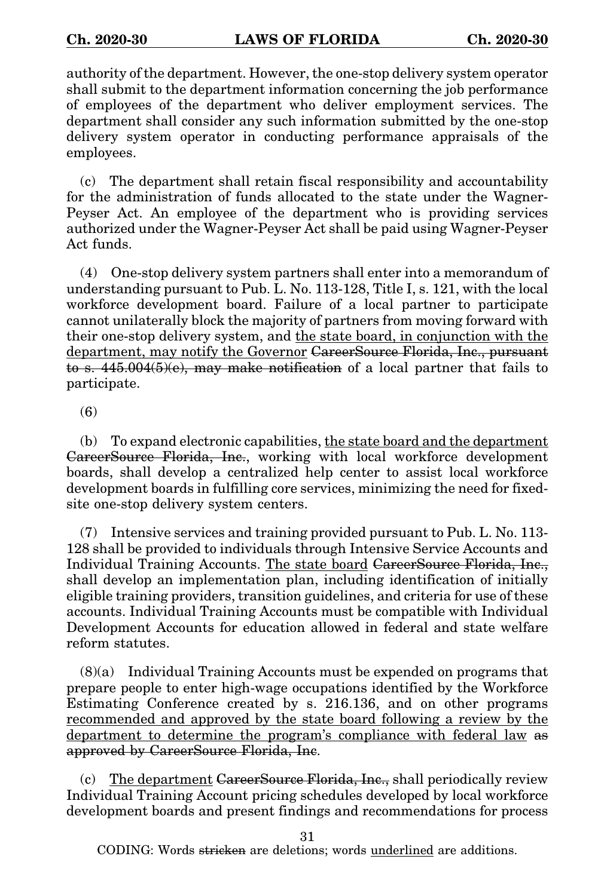authority of the department. However, the one-stop delivery system operator shall submit to the department information concerning the job performance of employees of the department who deliver employment services. The department shall consider any such information submitted by the one-stop delivery system operator in conducting performance appraisals of the employees.

(c) The department shall retain fiscal responsibility and accountability for the administration of funds allocated to the state under the Wagner-Peyser Act. An employee of the department who is providing services authorized under the Wagner-Peyser Act shall be paid using Wagner-Peyser Act funds.

(4) One-stop delivery system partners shall enter into a memorandum of understanding pursuant to Pub. L. No. 113-128, Title I, s. 121, with the local workforce development board. Failure of a local partner to participate cannot unilaterally block the majority of partners from moving forward with their one-stop delivery system, and the state board, in conjunction with the department, may notify the Governor CareerSource Florida, Inc., pursuant to s.  $445.004(5)(e)$ , may make notification of a local partner that fails to participate.

(6)

(b) To expand electronic capabilities, the state board and the department CareerSource Florida, Inc., working with local workforce development boards, shall develop a centralized help center to assist local workforce development boards in fulfilling core services, minimizing the need for fixedsite one-stop delivery system centers.

(7) Intensive services and training provided pursuant to Pub. L. No. 113- 128 shall be provided to individuals through Intensive Service Accounts and Individual Training Accounts. The state board CareerSource Florida, Inc., shall develop an implementation plan, including identification of initially eligible training providers, transition guidelines, and criteria for use of these accounts. Individual Training Accounts must be compatible with Individual Development Accounts for education allowed in federal and state welfare reform statutes.

(8)(a) Individual Training Accounts must be expended on programs that prepare people to enter high-wage occupations identified by the Workforce Estimating Conference created by s. 216.136, and on other programs recommended and approved by the state board following a review by the department to determine the program's compliance with federal law as approved by CareerSource Florida, Inc.

(c) The department CareerSource Florida, Inc., shall periodically review Individual Training Account pricing schedules developed by local workforce development boards and present findings and recommendations for process

31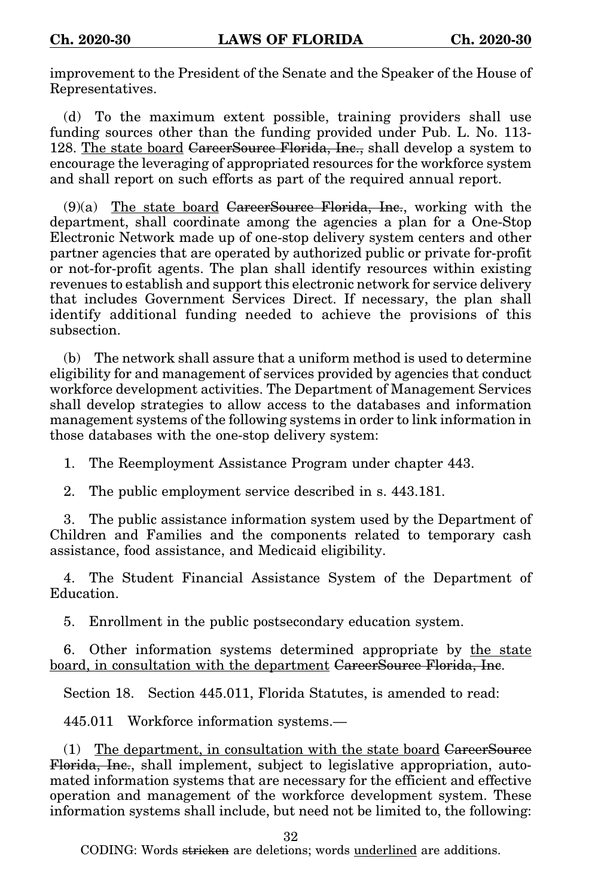improvement to the President of the Senate and the Speaker of the House of Representatives.

(d) To the maximum extent possible, training providers shall use funding sources other than the funding provided under Pub. L. No. 113- 128. The state board CareerSource Florida, Inc., shall develop a system to encourage the leveraging of appropriated resources for the workforce system and shall report on such efforts as part of the required annual report.

 $(9)(a)$  The state board CareerSource Florida, Inc., working with the department, shall coordinate among the agencies a plan for a One-Stop Electronic Network made up of one-stop delivery system centers and other partner agencies that are operated by authorized public or private for-profit or not-for-profit agents. The plan shall identify resources within existing revenues to establish and support this electronic network for service delivery that includes Government Services Direct. If necessary, the plan shall identify additional funding needed to achieve the provisions of this subsection.

(b) The network shall assure that a uniform method is used to determine eligibility for and management of services provided by agencies that conduct workforce development activities. The Department of Management Services shall develop strategies to allow access to the databases and information management systems of the following systems in order to link information in those databases with the one-stop delivery system:

1. The Reemployment Assistance Program under chapter 443.

2. The public employment service described in s. 443.181.

3. The public assistance information system used by the Department of Children and Families and the components related to temporary cash assistance, food assistance, and Medicaid eligibility.

4. The Student Financial Assistance System of the Department of Education.

5. Enrollment in the public postsecondary education system.

6. Other information systems determined appropriate by the state board, in consultation with the department CareerSource Florida, Inc.

Section 18. Section 445.011, Florida Statutes, is amended to read:

445.011 Workforce information systems.—

(1) The department, in consultation with the state board CareerSource Florida, Inc., shall implement, subject to legislative appropriation, automated information systems that are necessary for the efficient and effective operation and management of the workforce development system. These information systems shall include, but need not be limited to, the following:

32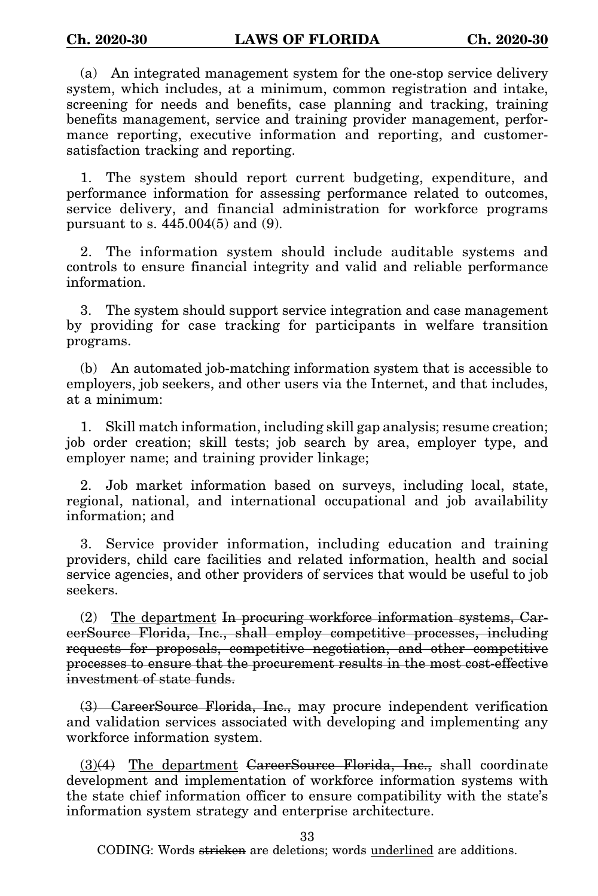(a) An integrated management system for the one-stop service delivery system, which includes, at a minimum, common registration and intake, screening for needs and benefits, case planning and tracking, training benefits management, service and training provider management, performance reporting, executive information and reporting, and customersatisfaction tracking and reporting.

1. The system should report current budgeting, expenditure, and performance information for assessing performance related to outcomes, service delivery, and financial administration for workforce programs pursuant to s. 445.004(5) and (9).

2. The information system should include auditable systems and controls to ensure financial integrity and valid and reliable performance information.

3. The system should support service integration and case management by providing for case tracking for participants in welfare transition programs.

(b) An automated job-matching information system that is accessible to employers, job seekers, and other users via the Internet, and that includes, at a minimum:

1. Skill match information, including skill gap analysis; resume creation; job order creation; skill tests; job search by area, employer type, and employer name; and training provider linkage;

2. Job market information based on surveys, including local, state, regional, national, and international occupational and job availability information; and

3. Service provider information, including education and training providers, child care facilities and related information, health and social service agencies, and other providers of services that would be useful to job seekers.

 $(2)$  The department In procuring workforce information systems, CareerSource Florida, Inc., shall employ competitive processes, including requests for proposals, competitive negotiation, and other competitive processes to ensure that the procurement results in the most cost-effective investment of state funds.

(3) CareerSource Florida, Inc., may procure independent verification and validation services associated with developing and implementing any workforce information system.

 $(3)(4)$  The department CareerSource Florida, Inc., shall coordinate development and implementation of workforce information systems with the state chief information officer to ensure compatibility with the state's information system strategy and enterprise architecture.

33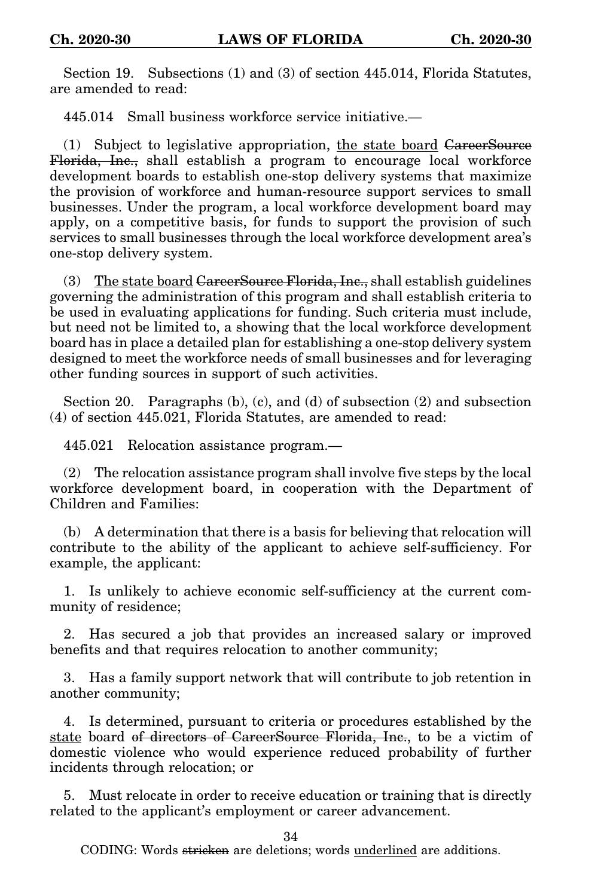Section 19. Subsections (1) and (3) of section 445.014, Florida Statutes, are amended to read:

445.014 Small business workforce service initiative.—

(1) Subject to legislative appropriation, the state board CareerSource Florida, Inc., shall establish a program to encourage local workforce development boards to establish one-stop delivery systems that maximize the provision of workforce and human-resource support services to small businesses. Under the program, a local workforce development board may apply, on a competitive basis, for funds to support the provision of such services to small businesses through the local workforce development area's one-stop delivery system.

(3) The state board CareerSource Florida, Inc., shall establish guidelines governing the administration of this program and shall establish criteria to be used in evaluating applications for funding. Such criteria must include, but need not be limited to, a showing that the local workforce development board has in place a detailed plan for establishing a one-stop delivery system designed to meet the workforce needs of small businesses and for leveraging other funding sources in support of such activities.

Section 20. Paragraphs (b), (c), and (d) of subsection (2) and subsection (4) of section 445.021, Florida Statutes, are amended to read:

445.021 Relocation assistance program.—

(2) The relocation assistance program shall involve five steps by the local workforce development board, in cooperation with the Department of Children and Families:

(b) A determination that there is a basis for believing that relocation will contribute to the ability of the applicant to achieve self-sufficiency. For example, the applicant:

1. Is unlikely to achieve economic self-sufficiency at the current community of residence;

2. Has secured a job that provides an increased salary or improved benefits and that requires relocation to another community;

3. Has a family support network that will contribute to job retention in another community;

4. Is determined, pursuant to criteria or procedures established by the state board of directors of CareerSource Florida, Inc., to be a victim of domestic violence who would experience reduced probability of further incidents through relocation; or

5. Must relocate in order to receive education or training that is directly related to the applicant's employment or career advancement.

34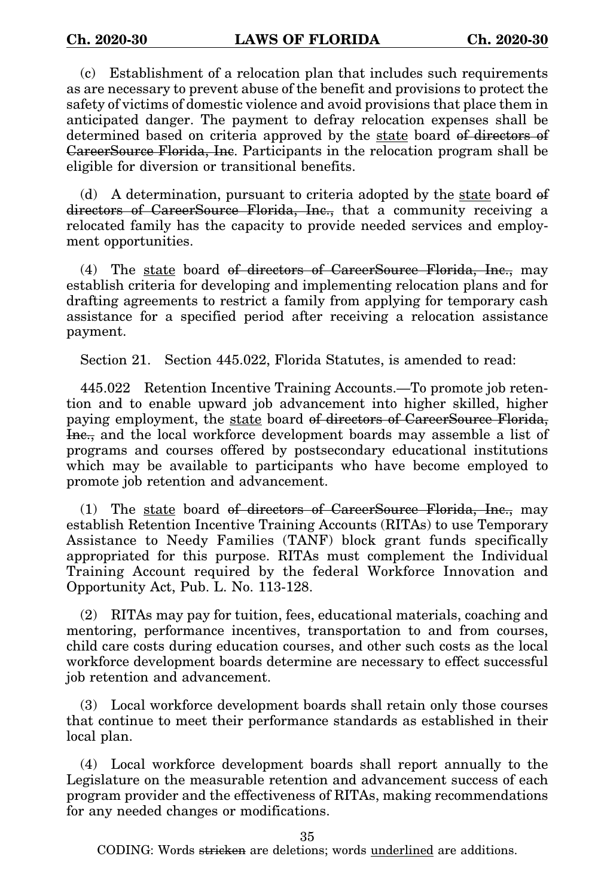(c) Establishment of a relocation plan that includes such requirements as are necessary to prevent abuse of the benefit and provisions to protect the safety of victims of domestic violence and avoid provisions that place them in anticipated danger. The payment to defray relocation expenses shall be determined based on criteria approved by the state board of directors of CareerSource Florida, Inc. Participants in the relocation program shall be eligible for diversion or transitional benefits.

(d) A determination, pursuant to criteria adopted by the state board of directors of CareerSource Florida, Inc., that a community receiving a relocated family has the capacity to provide needed services and employment opportunities.

(4) The state board of directors of CareerSource Florida, Inc., may establish criteria for developing and implementing relocation plans and for drafting agreements to restrict a family from applying for temporary cash assistance for a specified period after receiving a relocation assistance payment.

Section 21. Section 445.022, Florida Statutes, is amended to read:

445.022 Retention Incentive Training Accounts.—To promote job retention and to enable upward job advancement into higher skilled, higher paying employment, the state board of directors of CareerSource Florida, Inc., and the local workforce development boards may assemble a list of programs and courses offered by postsecondary educational institutions which may be available to participants who have become employed to promote job retention and advancement.

(1) The state board of directors of CareerSource Florida, Inc., may establish Retention Incentive Training Accounts (RITAs) to use Temporary Assistance to Needy Families (TANF) block grant funds specifically appropriated for this purpose. RITAs must complement the Individual Training Account required by the federal Workforce Innovation and Opportunity Act, Pub. L. No. 113-128.

(2) RITAs may pay for tuition, fees, educational materials, coaching and mentoring, performance incentives, transportation to and from courses, child care costs during education courses, and other such costs as the local workforce development boards determine are necessary to effect successful job retention and advancement.

(3) Local workforce development boards shall retain only those courses that continue to meet their performance standards as established in their local plan.

(4) Local workforce development boards shall report annually to the Legislature on the measurable retention and advancement success of each program provider and the effectiveness of RITAs, making recommendations for any needed changes or modifications.

35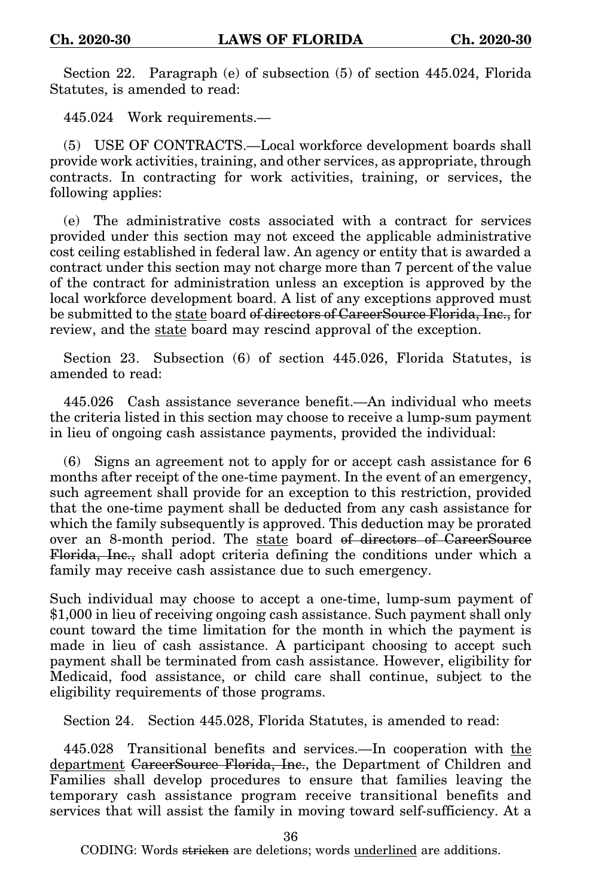Section 22. Paragraph (e) of subsection (5) of section 445.024, Florida Statutes, is amended to read:

445.024 Work requirements.—

(5) USE OF CONTRACTS.—Local workforce development boards shall provide work activities, training, and other services, as appropriate, through contracts. In contracting for work activities, training, or services, the following applies:

(e) The administrative costs associated with a contract for services provided under this section may not exceed the applicable administrative cost ceiling established in federal law. An agency or entity that is awarded a contract under this section may not charge more than 7 percent of the value of the contract for administration unless an exception is approved by the local workforce development board. A list of any exceptions approved must be submitted to the state board o<del>f directors of CareerSource Florida, Inc.,</del> for review, and the state board may rescind approval of the exception.

Section 23. Subsection (6) of section 445.026, Florida Statutes, is amended to read:

445.026 Cash assistance severance benefit.—An individual who meets the criteria listed in this section may choose to receive a lump-sum payment in lieu of ongoing cash assistance payments, provided the individual:

(6) Signs an agreement not to apply for or accept cash assistance for 6 months after receipt of the one-time payment. In the event of an emergency, such agreement shall provide for an exception to this restriction, provided that the one-time payment shall be deducted from any cash assistance for which the family subsequently is approved. This deduction may be prorated over an 8-month period. The state board of directors of CareerSource Florida, Inc., shall adopt criteria defining the conditions under which a family may receive cash assistance due to such emergency.

Such individual may choose to accept a one-time, lump-sum payment of \$1,000 in lieu of receiving ongoing cash assistance. Such payment shall only count toward the time limitation for the month in which the payment is made in lieu of cash assistance. A participant choosing to accept such payment shall be terminated from cash assistance. However, eligibility for Medicaid, food assistance, or child care shall continue, subject to the eligibility requirements of those programs.

Section 24. Section 445.028, Florida Statutes, is amended to read:

445.028 Transitional benefits and services.—In cooperation with the department CareerSource Florida, Inc., the Department of Children and Families shall develop procedures to ensure that families leaving the temporary cash assistance program receive transitional benefits and services that will assist the family in moving toward self-sufficiency. At a

36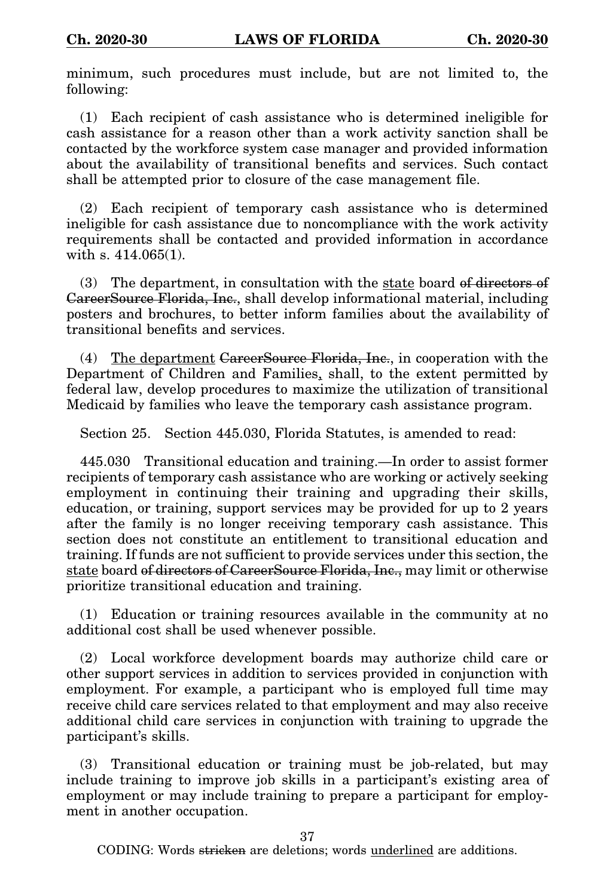minimum, such procedures must include, but are not limited to, the following:

(1) Each recipient of cash assistance who is determined ineligible for cash assistance for a reason other than a work activity sanction shall be contacted by the workforce system case manager and provided information about the availability of transitional benefits and services. Such contact shall be attempted prior to closure of the case management file.

(2) Each recipient of temporary cash assistance who is determined ineligible for cash assistance due to noncompliance with the work activity requirements shall be contacted and provided information in accordance with s. 414.065(1).

(3) The department, in consultation with the state board of directors of CareerSource Florida, Inc., shall develop informational material, including posters and brochures, to better inform families about the availability of transitional benefits and services.

(4) The department CareerSource Florida, Inc., in cooperation with the Department of Children and Families, shall, to the extent permitted by federal law, develop procedures to maximize the utilization of transitional Medicaid by families who leave the temporary cash assistance program.

Section 25. Section 445.030, Florida Statutes, is amended to read:

445.030 Transitional education and training.—In order to assist former recipients of temporary cash assistance who are working or actively seeking employment in continuing their training and upgrading their skills, education, or training, support services may be provided for up to 2 years after the family is no longer receiving temporary cash assistance. This section does not constitute an entitlement to transitional education and training. If funds are not sufficient to provide services under this section, the state board of directors of CareerSource Florida, Inc., may limit or otherwise prioritize transitional education and training.

(1) Education or training resources available in the community at no additional cost shall be used whenever possible.

(2) Local workforce development boards may authorize child care or other support services in addition to services provided in conjunction with employment. For example, a participant who is employed full time may receive child care services related to that employment and may also receive additional child care services in conjunction with training to upgrade the participant's skills.

(3) Transitional education or training must be job-related, but may include training to improve job skills in a participant's existing area of employment or may include training to prepare a participant for employment in another occupation.

37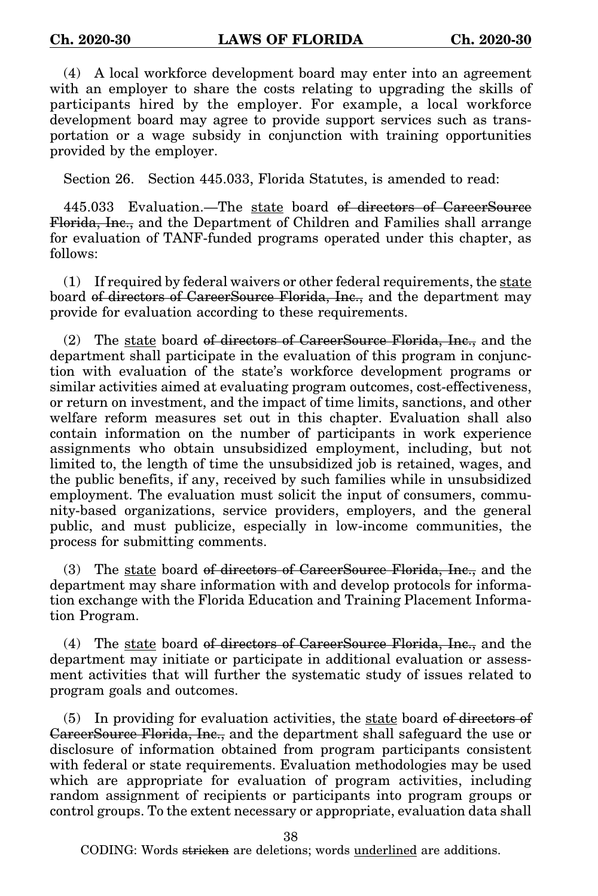(4) A local workforce development board may enter into an agreement with an employer to share the costs relating to upgrading the skills of participants hired by the employer. For example, a local workforce development board may agree to provide support services such as transportation or a wage subsidy in conjunction with training opportunities provided by the employer.

Section 26. Section 445.033, Florida Statutes, is amended to read:

445.033 Evaluation.—The state board of directors of CareerSource Florida, Inc., and the Department of Children and Families shall arrange for evaluation of TANF-funded programs operated under this chapter, as follows:

(1) If required by federal waivers or other federal requirements, the state board of directors of CareerSource Florida, Inc., and the department may provide for evaluation according to these requirements.

(2) The state board of directors of CareerSource Florida, Inc., and the department shall participate in the evaluation of this program in conjunction with evaluation of the state's workforce development programs or similar activities aimed at evaluating program outcomes, cost-effectiveness, or return on investment, and the impact of time limits, sanctions, and other welfare reform measures set out in this chapter. Evaluation shall also contain information on the number of participants in work experience assignments who obtain unsubsidized employment, including, but not limited to, the length of time the unsubsidized job is retained, wages, and the public benefits, if any, received by such families while in unsubsidized employment. The evaluation must solicit the input of consumers, community-based organizations, service providers, employers, and the general public, and must publicize, especially in low-income communities, the process for submitting comments.

(3) The state board of directors of CareerSource Florida, Inc., and the department may share information with and develop protocols for information exchange with the Florida Education and Training Placement Information Program.

(4) The state board of directors of CareerSource Florida, Inc., and the department may initiate or participate in additional evaluation or assessment activities that will further the systematic study of issues related to program goals and outcomes.

(5) In providing for evaluation activities, the state board of directors of CareerSource Florida, Inc., and the department shall safeguard the use or disclosure of information obtained from program participants consistent with federal or state requirements. Evaluation methodologies may be used which are appropriate for evaluation of program activities, including random assignment of recipients or participants into program groups or control groups. To the extent necessary or appropriate, evaluation data shall

38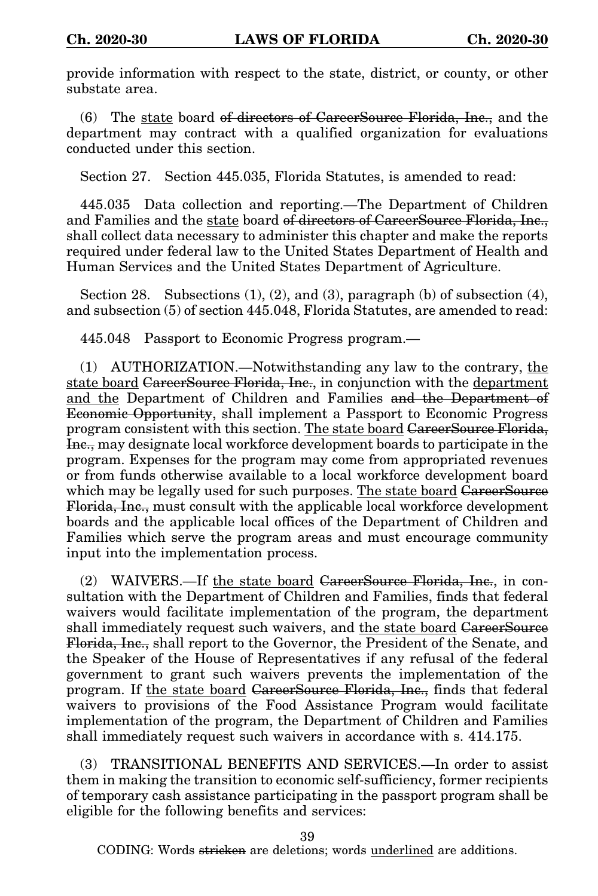provide information with respect to the state, district, or county, or other substate area.

(6) The state board of directors of CareerSource Florida, Inc., and the department may contract with a qualified organization for evaluations conducted under this section.

Section 27. Section 445.035, Florida Statutes, is amended to read:

445.035 Data collection and reporting.—The Department of Children and Families and the state board of directors of CareerSource Florida, Inc., shall collect data necessary to administer this chapter and make the reports required under federal law to the United States Department of Health and Human Services and the United States Department of Agriculture.

Section 28. Subsections  $(1), (2),$  and  $(3),$  paragraph  $(b)$  of subsection  $(4),$ and subsection (5) of section 445.048, Florida Statutes, are amended to read:

445.048 Passport to Economic Progress program.—

(1) AUTHORIZATION.—Notwithstanding any law to the contrary, the state board CareerSource Florida, Inc., in conjunction with the department and the Department of Children and Families and the Department of Economic Opportunity, shall implement a Passport to Economic Progress program consistent with this section. The state board CareerSource Florida, Inc., may designate local workforce development boards to participate in the program. Expenses for the program may come from appropriated revenues or from funds otherwise available to a local workforce development board which may be legally used for such purposes. The state board CareerSource Florida, Inc., must consult with the applicable local workforce development boards and the applicable local offices of the Department of Children and Families which serve the program areas and must encourage community input into the implementation process.

(2) WAIVERS.—If the state board <del>CareerSource Florida, Inc.</del>, in consultation with the Department of Children and Families, finds that federal waivers would facilitate implementation of the program, the department shall immediately request such waivers, and the state board CareerSource Florida, Inc., shall report to the Governor, the President of the Senate, and the Speaker of the House of Representatives if any refusal of the federal government to grant such waivers prevents the implementation of the program. If the state board CareerSource Florida, Inc., finds that federal waivers to provisions of the Food Assistance Program would facilitate implementation of the program, the Department of Children and Families shall immediately request such waivers in accordance with s. 414.175.

(3) TRANSITIONAL BENEFITS AND SERVICES.—In order to assist them in making the transition to economic self-sufficiency, former recipients of temporary cash assistance participating in the passport program shall be eligible for the following benefits and services:

39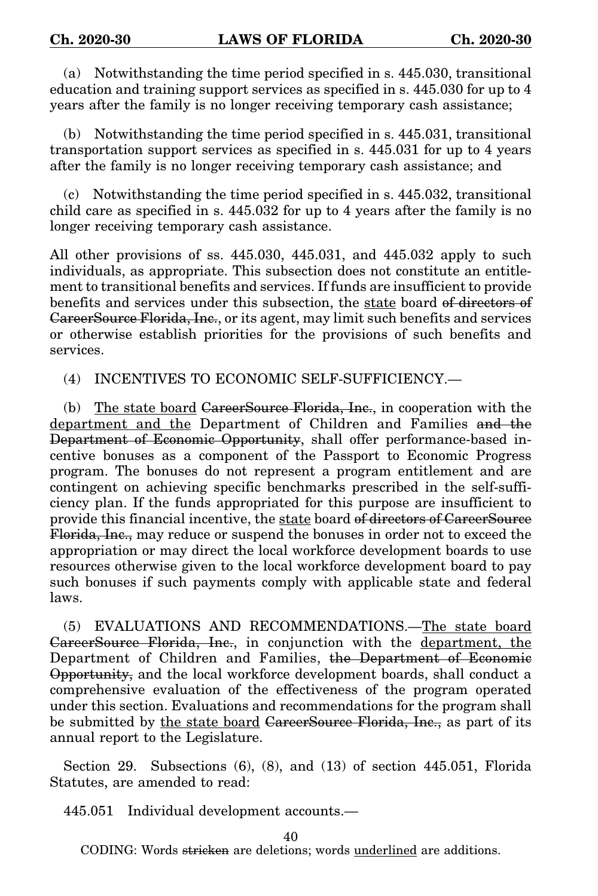(a) Notwithstanding the time period specified in s. 445.030, transitional education and training support services as specified in s. 445.030 for up to 4 years after the family is no longer receiving temporary cash assistance;

(b) Notwithstanding the time period specified in s. 445.031, transitional transportation support services as specified in s. 445.031 for up to 4 years after the family is no longer receiving temporary cash assistance; and

(c) Notwithstanding the time period specified in s. 445.032, transitional child care as specified in s. 445.032 for up to 4 years after the family is no longer receiving temporary cash assistance.

All other provisions of ss. 445.030, 445.031, and 445.032 apply to such individuals, as appropriate. This subsection does not constitute an entitlement to transitional benefits and services. If funds are insufficient to provide benefits and services under this subsection, the state board of directors of CareerSource Florida, Inc., or its agent, may limit such benefits and services or otherwise establish priorities for the provisions of such benefits and services.

(4) INCENTIVES TO ECONOMIC SELF-SUFFICIENCY.—

(b) The state board CareerSource Florida, Inc., in cooperation with the department and the Department of Children and Families and the Department of Economic Opportunity, shall offer performance-based incentive bonuses as a component of the Passport to Economic Progress program. The bonuses do not represent a program entitlement and are contingent on achieving specific benchmarks prescribed in the self-sufficiency plan. If the funds appropriated for this purpose are insufficient to provide this financial incentive, the state board of directors of CareerSource Florida, Inc., may reduce or suspend the bonuses in order not to exceed the appropriation or may direct the local workforce development boards to use resources otherwise given to the local workforce development board to pay such bonuses if such payments comply with applicable state and federal laws.

(5) EVALUATIONS AND RECOMMENDATIONS.—The state board CareerSource Florida, Inc., in conjunction with the department, the Department of Children and Families, the Department of Economic Opportunity, and the local workforce development boards, shall conduct a comprehensive evaluation of the effectiveness of the program operated under this section. Evaluations and recommendations for the program shall be submitted by the state board CareerSource Florida, Inc., as part of its annual report to the Legislature.

Section 29. Subsections (6), (8), and (13) of section 445.051, Florida Statutes, are amended to read:

445.051 Individual development accounts.—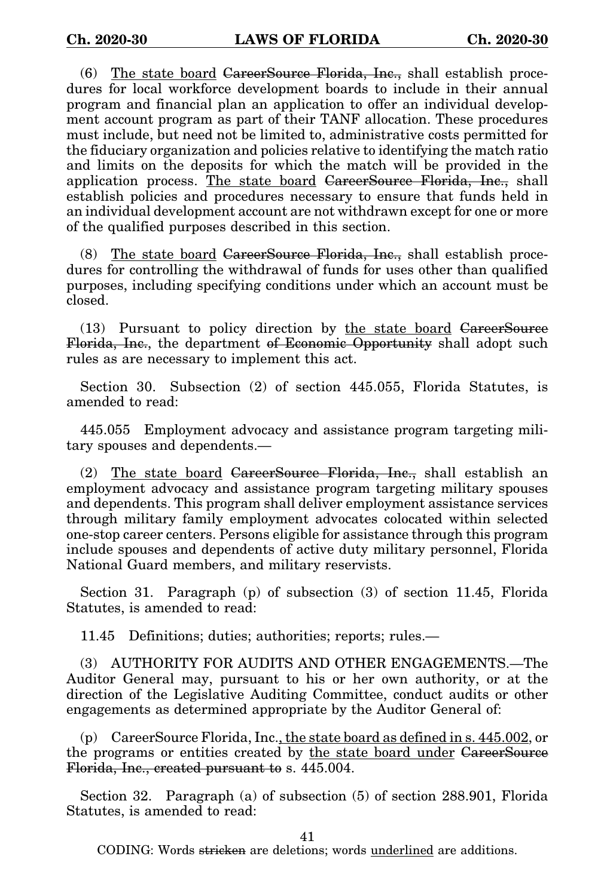(6) The state board CareerSource Florida, Inc., shall establish procedures for local workforce development boards to include in their annual program and financial plan an application to offer an individual development account program as part of their TANF allocation. These procedures must include, but need not be limited to, administrative costs permitted for the fiduciary organization and policies relative to identifying the match ratio and limits on the deposits for which the match will be provided in the application process. The state board CareerSource Florida, Inc., shall establish policies and procedures necessary to ensure that funds held in an individual development account are not withdrawn except for one or more of the qualified purposes described in this section.

(8) The state board GareerSource Florida, Inc., shall establish procedures for controlling the withdrawal of funds for uses other than qualified purposes, including specifying conditions under which an account must be closed.

(13) Pursuant to policy direction by the state board CareerSource Florida, Inc., the department of Economic Opportunity shall adopt such rules as are necessary to implement this act.

Section 30. Subsection (2) of section 445.055, Florida Statutes, is amended to read:

445.055 Employment advocacy and assistance program targeting military spouses and dependents.—

(2) The state board CareerSource Florida, Inc., shall establish an employment advocacy and assistance program targeting military spouses and dependents. This program shall deliver employment assistance services through military family employment advocates colocated within selected one-stop career centers. Persons eligible for assistance through this program include spouses and dependents of active duty military personnel, Florida National Guard members, and military reservists.

Section 31. Paragraph (p) of subsection (3) of section 11.45, Florida Statutes, is amended to read:

11.45 Definitions; duties; authorities; reports; rules.—

(3) AUTHORITY FOR AUDITS AND OTHER ENGAGEMENTS.—The Auditor General may, pursuant to his or her own authority, or at the direction of the Legislative Auditing Committee, conduct audits or other engagements as determined appropriate by the Auditor General of:

(p) CareerSource Florida, Inc., the state board as defined in s. 445.002, or the programs or entities created by the state board under GareerSource Florida, Inc., created pursuant to s. 445.004.

Section 32. Paragraph (a) of subsection (5) of section 288.901, Florida Statutes, is amended to read:

41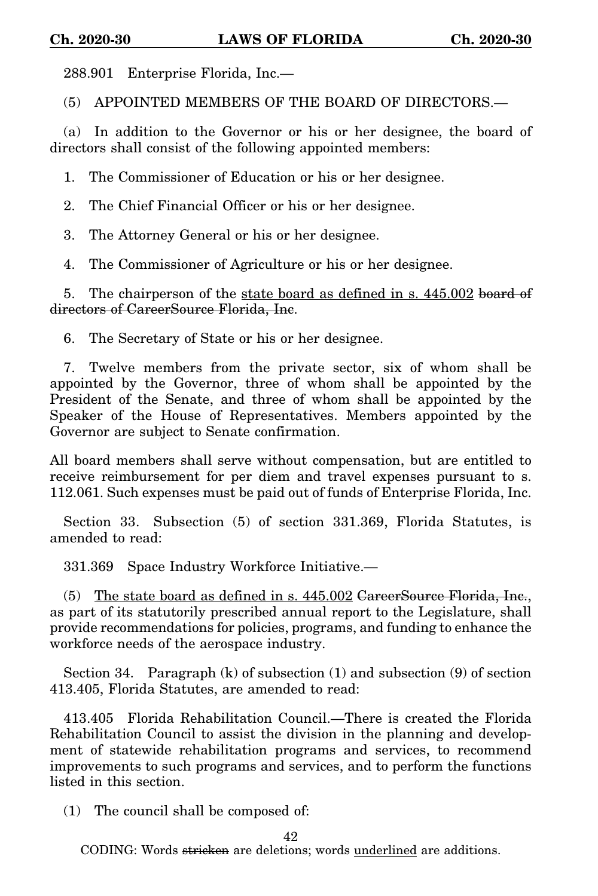288.901 Enterprise Florida, Inc.—

(5) APPOINTED MEMBERS OF THE BOARD OF DIRECTORS.—

(a) In addition to the Governor or his or her designee, the board of directors shall consist of the following appointed members:

1. The Commissioner of Education or his or her designee.

2. The Chief Financial Officer or his or her designee.

3. The Attorney General or his or her designee.

4. The Commissioner of Agriculture or his or her designee.

5. The chairperson of the state board as defined in s. 445.002 board of directors of CareerSource Florida, Inc.

6. The Secretary of State or his or her designee.

7. Twelve members from the private sector, six of whom shall be appointed by the Governor, three of whom shall be appointed by the President of the Senate, and three of whom shall be appointed by the Speaker of the House of Representatives. Members appointed by the Governor are subject to Senate confirmation.

All board members shall serve without compensation, but are entitled to receive reimbursement for per diem and travel expenses pursuant to s. 112.061. Such expenses must be paid out of funds of Enterprise Florida, Inc.

Section 33. Subsection (5) of section 331.369, Florida Statutes, is amended to read:

331.369 Space Industry Workforce Initiative.—

(5) The state board as defined in s. 445.002 CareerSource Florida, Inc., as part of its statutorily prescribed annual report to the Legislature, shall provide recommendations for policies, programs, and funding to enhance the workforce needs of the aerospace industry.

Section 34. Paragraph (k) of subsection (1) and subsection (9) of section 413.405, Florida Statutes, are amended to read:

413.405 Florida Rehabilitation Council.—There is created the Florida Rehabilitation Council to assist the division in the planning and development of statewide rehabilitation programs and services, to recommend improvements to such programs and services, and to perform the functions listed in this section.

(1) The council shall be composed of:

42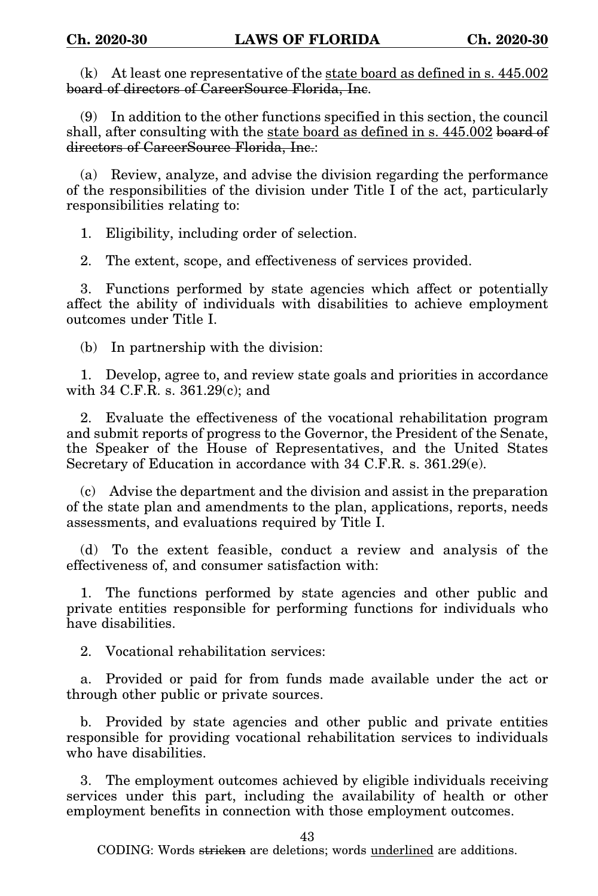(k) At least one representative of the state board as defined in s. 445.002 board of directors of CareerSource Florida, Inc.

(9) In addition to the other functions specified in this section, the council shall, after consulting with the state board as defined in s. 445.002 board of directors of CareerSource Florida, Inc.:

(a) Review, analyze, and advise the division regarding the performance of the responsibilities of the division under Title I of the act, particularly responsibilities relating to:

1. Eligibility, including order of selection.

2. The extent, scope, and effectiveness of services provided.

3. Functions performed by state agencies which affect or potentially affect the ability of individuals with disabilities to achieve employment outcomes under Title I.

(b) In partnership with the division:

1. Develop, agree to, and review state goals and priorities in accordance with 34 C.F.R. s. 361.29(c); and

2. Evaluate the effectiveness of the vocational rehabilitation program and submit reports of progress to the Governor, the President of the Senate, the Speaker of the House of Representatives, and the United States Secretary of Education in accordance with 34 C.F.R. s. 361.29(e).

(c) Advise the department and the division and assist in the preparation of the state plan and amendments to the plan, applications, reports, needs assessments, and evaluations required by Title I.

(d) To the extent feasible, conduct a review and analysis of the effectiveness of, and consumer satisfaction with:

1. The functions performed by state agencies and other public and private entities responsible for performing functions for individuals who have disabilities.

2. Vocational rehabilitation services:

a. Provided or paid for from funds made available under the act or through other public or private sources.

b. Provided by state agencies and other public and private entities responsible for providing vocational rehabilitation services to individuals who have disabilities.

3. The employment outcomes achieved by eligible individuals receiving services under this part, including the availability of health or other employment benefits in connection with those employment outcomes.

43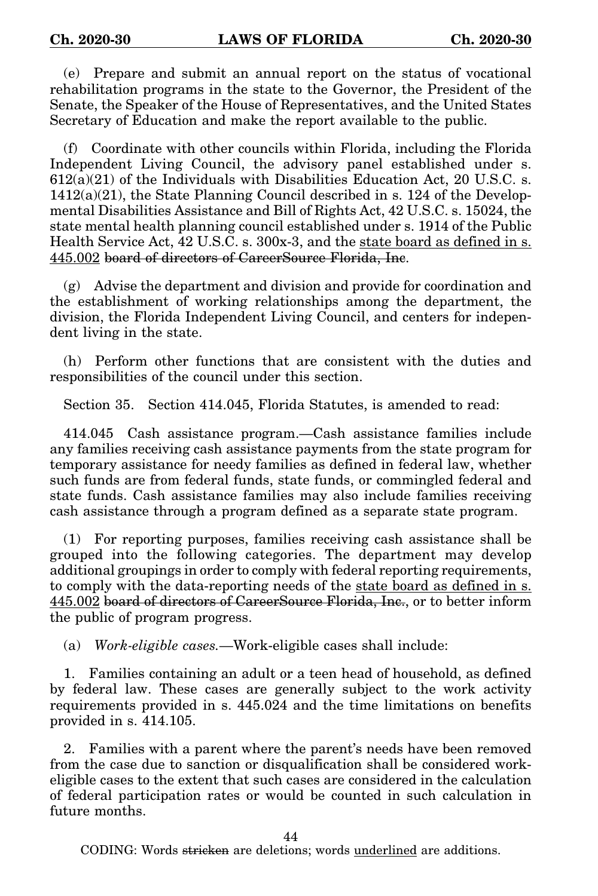(e) Prepare and submit an annual report on the status of vocational rehabilitation programs in the state to the Governor, the President of the Senate, the Speaker of the House of Representatives, and the United States Secretary of Education and make the report available to the public.

(f) Coordinate with other councils within Florida, including the Florida Independent Living Council, the advisory panel established under s.  $612(a)(21)$  of the Individuals with Disabilities Education Act, 20 U.S.C. s.  $1412(a)(21)$ , the State Planning Council described in s. 124 of the Developmental Disabilities Assistance and Bill of Rights Act, 42 U.S.C. s. 15024, the state mental health planning council established under s. 1914 of the Public Health Service Act, 42 U.S.C. s. 300x-3, and the state board as defined in s. 445.002 board of directors of CareerSource Florida, Inc.

(g) Advise the department and division and provide for coordination and the establishment of working relationships among the department, the division, the Florida Independent Living Council, and centers for independent living in the state.

(h) Perform other functions that are consistent with the duties and responsibilities of the council under this section.

Section 35. Section 414.045, Florida Statutes, is amended to read:

414.045 Cash assistance program.—Cash assistance families include any families receiving cash assistance payments from the state program for temporary assistance for needy families as defined in federal law, whether such funds are from federal funds, state funds, or commingled federal and state funds. Cash assistance families may also include families receiving cash assistance through a program defined as a separate state program.

(1) For reporting purposes, families receiving cash assistance shall be grouped into the following categories. The department may develop additional groupings in order to comply with federal reporting requirements, to comply with the data-reporting needs of the state board as defined in s. 445.002 board of directors of CareerSource Florida, Inc., or to better inform the public of program progress.

(a) *Work-eligible cases.*—Work-eligible cases shall include:

1. Families containing an adult or a teen head of household, as defined by federal law. These cases are generally subject to the work activity requirements provided in s. 445.024 and the time limitations on benefits provided in s. 414.105.

2. Families with a parent where the parent's needs have been removed from the case due to sanction or disqualification shall be considered workeligible cases to the extent that such cases are considered in the calculation of federal participation rates or would be counted in such calculation in future months.

44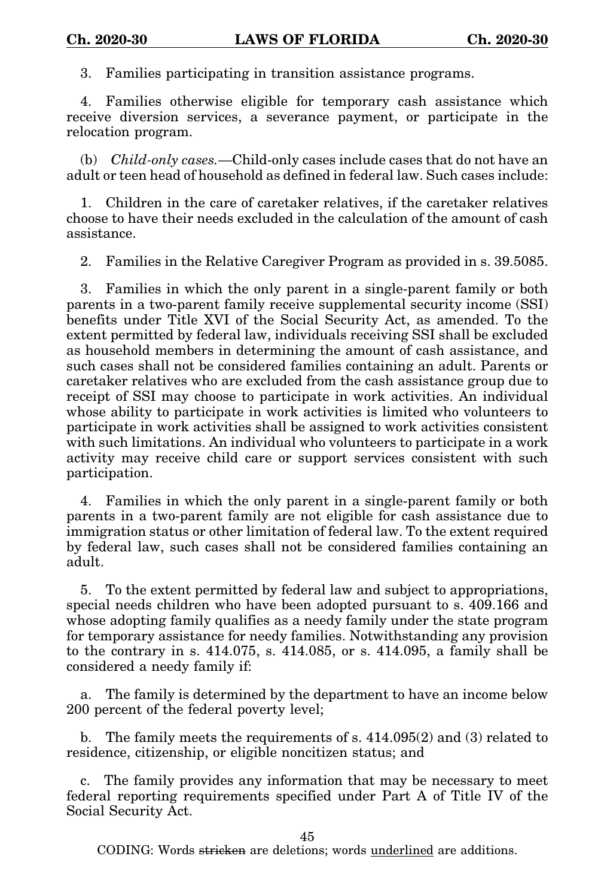3. Families participating in transition assistance programs.

4. Families otherwise eligible for temporary cash assistance which receive diversion services, a severance payment, or participate in the relocation program.

(b) *Child-only cases.*—Child-only cases include cases that do not have an adult or teen head of household as defined in federal law. Such cases include:

1. Children in the care of caretaker relatives, if the caretaker relatives choose to have their needs excluded in the calculation of the amount of cash assistance.

2. Families in the Relative Caregiver Program as provided in s. 39.5085.

3. Families in which the only parent in a single-parent family or both parents in a two-parent family receive supplemental security income (SSI) benefits under Title XVI of the Social Security Act, as amended. To the extent permitted by federal law, individuals receiving SSI shall be excluded as household members in determining the amount of cash assistance, and such cases shall not be considered families containing an adult. Parents or caretaker relatives who are excluded from the cash assistance group due to receipt of SSI may choose to participate in work activities. An individual whose ability to participate in work activities is limited who volunteers to participate in work activities shall be assigned to work activities consistent with such limitations. An individual who volunteers to participate in a work activity may receive child care or support services consistent with such participation.

4. Families in which the only parent in a single-parent family or both parents in a two-parent family are not eligible for cash assistance due to immigration status or other limitation of federal law. To the extent required by federal law, such cases shall not be considered families containing an adult.

5. To the extent permitted by federal law and subject to appropriations, special needs children who have been adopted pursuant to s. 409.166 and whose adopting family qualifies as a needy family under the state program for temporary assistance for needy families. Notwithstanding any provision to the contrary in s. 414.075, s. 414.085, or s. 414.095, a family shall be considered a needy family if:

a. The family is determined by the department to have an income below 200 percent of the federal poverty level;

b. The family meets the requirements of s. 414.095(2) and (3) related to residence, citizenship, or eligible noncitizen status; and

c. The family provides any information that may be necessary to meet federal reporting requirements specified under Part A of Title IV of the Social Security Act.

45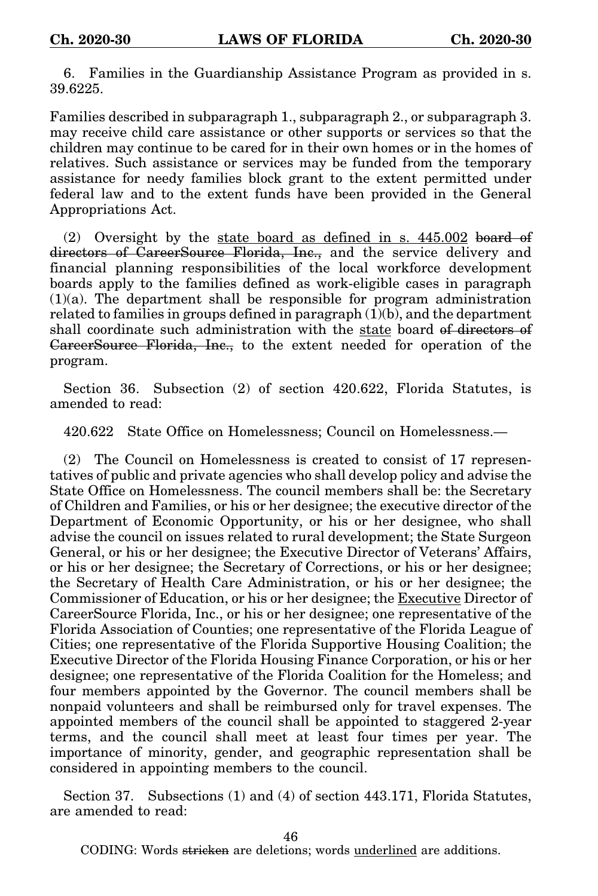6. Families in the Guardianship Assistance Program as provided in s. 39.6225.

Families described in subparagraph 1., subparagraph 2., or subparagraph 3. may receive child care assistance or other supports or services so that the children may continue to be cared for in their own homes or in the homes of relatives. Such assistance or services may be funded from the temporary assistance for needy families block grant to the extent permitted under federal law and to the extent funds have been provided in the General Appropriations Act.

 $(2)$  Oversight by the state board as defined in s. 445.002 board of directors of CareerSource Florida, Inc., and the service delivery and financial planning responsibilities of the local workforce development boards apply to the families defined as work-eligible cases in paragraph  $(1)(a)$ . The department shall be responsible for program administration related to families in groups defined in paragraph (1)(b), and the department shall coordinate such administration with the state board of directors of CareerSource Florida, Inc., to the extent needed for operation of the program.

Section 36. Subsection (2) of section 420.622, Florida Statutes, is amended to read:

420.622 State Office on Homelessness; Council on Homelessness.—

(2) The Council on Homelessness is created to consist of 17 representatives of public and private agencies who shall develop policy and advise the State Office on Homelessness. The council members shall be: the Secretary of Children and Families, or his or her designee; the executive director of the Department of Economic Opportunity, or his or her designee, who shall advise the council on issues related to rural development; the State Surgeon General, or his or her designee; the Executive Director of Veterans' Affairs, or his or her designee; the Secretary of Corrections, or his or her designee; the Secretary of Health Care Administration, or his or her designee; the Commissioner of Education, or his or her designee; the Executive Director of CareerSource Florida, Inc., or his or her designee; one representative of the Florida Association of Counties; one representative of the Florida League of Cities; one representative of the Florida Supportive Housing Coalition; the Executive Director of the Florida Housing Finance Corporation, or his or her designee; one representative of the Florida Coalition for the Homeless; and four members appointed by the Governor. The council members shall be nonpaid volunteers and shall be reimbursed only for travel expenses. The appointed members of the council shall be appointed to staggered 2-year terms, and the council shall meet at least four times per year. The importance of minority, gender, and geographic representation shall be considered in appointing members to the council.

Section 37. Subsections (1) and (4) of section 443.171, Florida Statutes, are amended to read: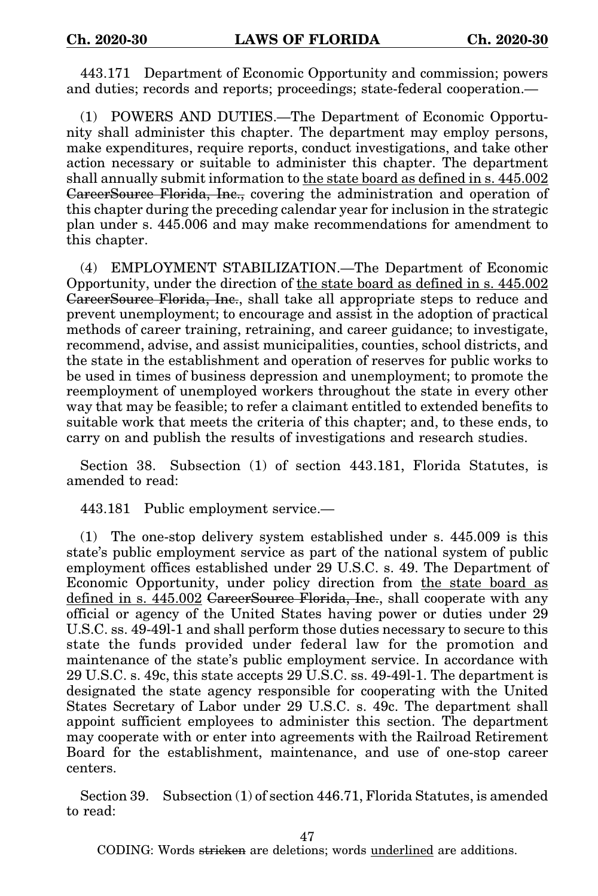443.171 Department of Economic Opportunity and commission; powers and duties; records and reports; proceedings; state-federal cooperation.—

(1) POWERS AND DUTIES.—The Department of Economic Opportunity shall administer this chapter. The department may employ persons, make expenditures, require reports, conduct investigations, and take other action necessary or suitable to administer this chapter. The department shall annually submit information to the state board as defined in s. 445.002 CareerSource Florida, Inc., covering the administration and operation of this chapter during the preceding calendar year for inclusion in the strategic plan under s. 445.006 and may make recommendations for amendment to this chapter.

(4) EMPLOYMENT STABILIZATION.—The Department of Economic Opportunity, under the direction of the state board as defined in s. 445.002 CareerSource Florida, Inc., shall take all appropriate steps to reduce and prevent unemployment; to encourage and assist in the adoption of practical methods of career training, retraining, and career guidance; to investigate, recommend, advise, and assist municipalities, counties, school districts, and the state in the establishment and operation of reserves for public works to be used in times of business depression and unemployment; to promote the reemployment of unemployed workers throughout the state in every other way that may be feasible; to refer a claimant entitled to extended benefits to suitable work that meets the criteria of this chapter; and, to these ends, to carry on and publish the results of investigations and research studies.

Section 38. Subsection (1) of section 443.181, Florida Statutes, is amended to read:

443.181 Public employment service.—

(1) The one-stop delivery system established under s. 445.009 is this state's public employment service as part of the national system of public employment offices established under 29 U.S.C. s. 49. The Department of Economic Opportunity, under policy direction from the state board as defined in s. 445.002 GareerSource Florida, Inc., shall cooperate with any official or agency of the United States having power or duties under 29 U.S.C. ss. 49-49l-1 and shall perform those duties necessary to secure to this state the funds provided under federal law for the promotion and maintenance of the state's public employment service. In accordance with 29 U.S.C. s. 49c, this state accepts 29 U.S.C. ss. 49-49l-1. The department is designated the state agency responsible for cooperating with the United States Secretary of Labor under 29 U.S.C. s. 49c. The department shall appoint sufficient employees to administer this section. The department may cooperate with or enter into agreements with the Railroad Retirement Board for the establishment, maintenance, and use of one-stop career centers.

Section 39. Subsection (1) of section 446.71, Florida Statutes, is amended to read:

47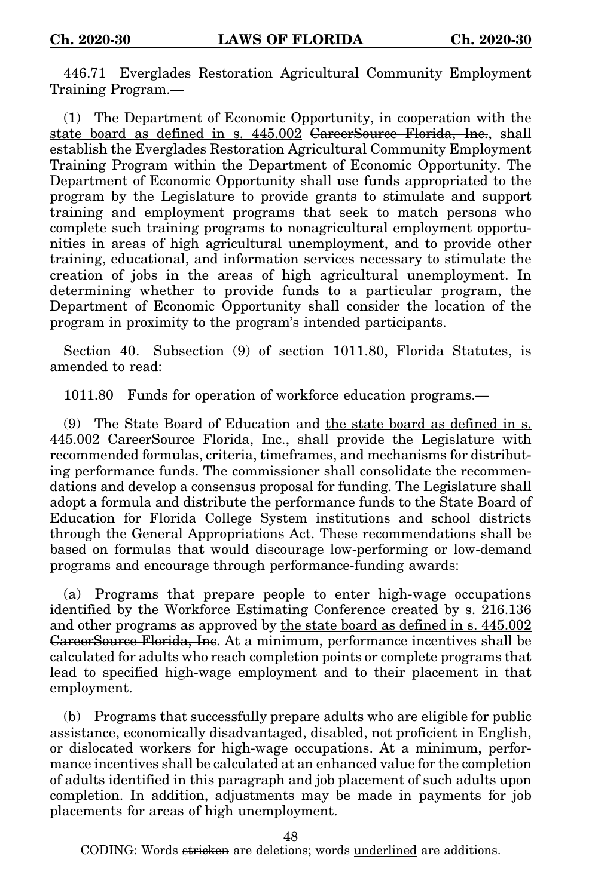446.71 Everglades Restoration Agricultural Community Employment Training Program.—

(1) The Department of Economic Opportunity, in cooperation with the state board as defined in s. 445.002 GareerSource Florida, Inc., shall establish the Everglades Restoration Agricultural Community Employment Training Program within the Department of Economic Opportunity. The Department of Economic Opportunity shall use funds appropriated to the program by the Legislature to provide grants to stimulate and support training and employment programs that seek to match persons who complete such training programs to nonagricultural employment opportunities in areas of high agricultural unemployment, and to provide other training, educational, and information services necessary to stimulate the creation of jobs in the areas of high agricultural unemployment. In determining whether to provide funds to a particular program, the Department of Economic Opportunity shall consider the location of the program in proximity to the program's intended participants.

Section 40. Subsection (9) of section 1011.80, Florida Statutes, is amended to read:

1011.80 Funds for operation of workforce education programs.—

(9) The State Board of Education and the state board as defined in s. 445.002 CareerSource Florida, Inc., shall provide the Legislature with recommended formulas, criteria, timeframes, and mechanisms for distributing performance funds. The commissioner shall consolidate the recommendations and develop a consensus proposal for funding. The Legislature shall adopt a formula and distribute the performance funds to the State Board of Education for Florida College System institutions and school districts through the General Appropriations Act. These recommendations shall be based on formulas that would discourage low-performing or low-demand programs and encourage through performance-funding awards:

(a) Programs that prepare people to enter high-wage occupations identified by the Workforce Estimating Conference created by s. 216.136 and other programs as approved by the state board as defined in s. 445.002 CareerSource Florida, Inc. At a minimum, performance incentives shall be calculated for adults who reach completion points or complete programs that lead to specified high-wage employment and to their placement in that employment.

(b) Programs that successfully prepare adults who are eligible for public assistance, economically disadvantaged, disabled, not proficient in English, or dislocated workers for high-wage occupations. At a minimum, performance incentives shall be calculated at an enhanced value for the completion of adults identified in this paragraph and job placement of such adults upon completion. In addition, adjustments may be made in payments for job placements for areas of high unemployment.

48